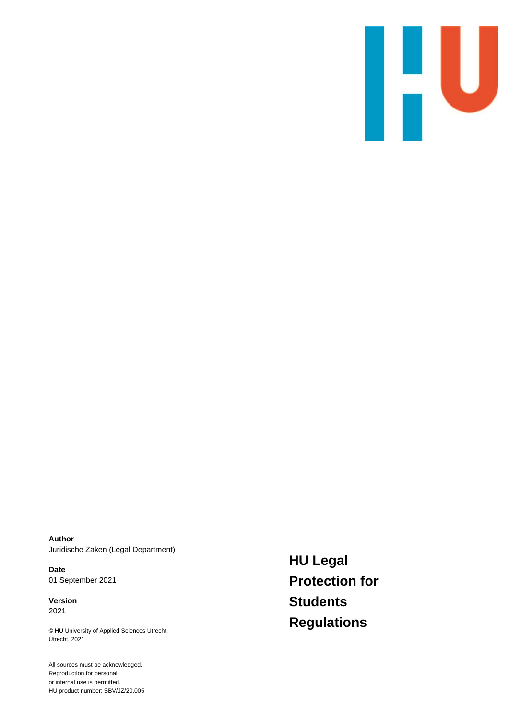

**Author** Juridische Zaken (Legal Department)

**Date** 01 September 2021

**Version** 2021

© HU University of Applied Sciences Utrecht, Utrecht, 2021

All sources must be acknowledged. Reproduction for personal or internal use is permitted. HU product number: SBV/JZ/20.005 **HU Legal Protection for Students Regulations**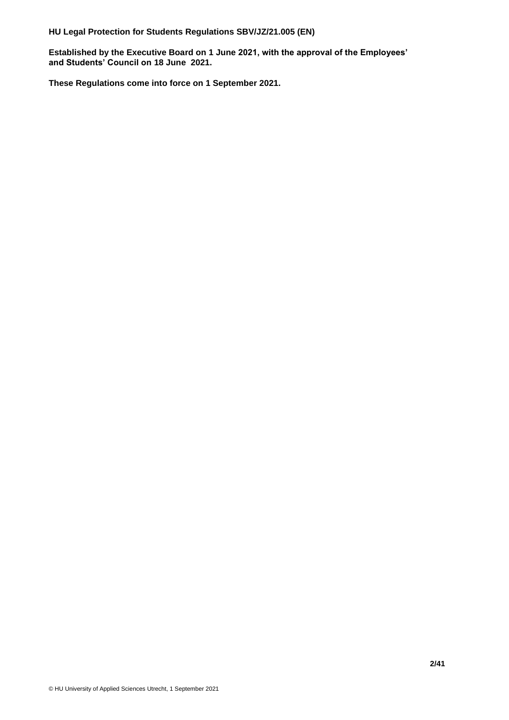**Established by the Executive Board on 1 June 2021, with the approval of the Employees' and Students' Council on 18 June 2021.** 

**These Regulations come into force on 1 September 2021.**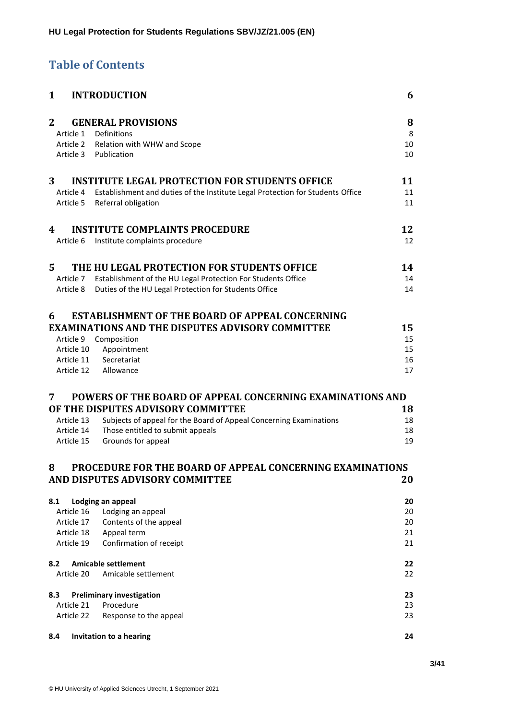# **Table of Contents**

| $\mathbf{1}$   |                          | <b>INTRODUCTION</b>                                                            | 6        |
|----------------|--------------------------|--------------------------------------------------------------------------------|----------|
| $\overline{2}$ |                          | <b>GENERAL PROVISIONS</b>                                                      | 8        |
|                |                          | Article 1 Definitions                                                          | 8        |
|                |                          | Article 2 Relation with WHW and Scope                                          | 10       |
|                |                          | Article 3 Publication                                                          | 10       |
| 3              |                          | <b>INSTITUTE LEGAL PROTECTION FOR STUDENTS OFFICE</b>                          | 11       |
|                | Article 4                | Establishment and duties of the Institute Legal Protection for Students Office | 11       |
|                | Article 5                | Referral obligation                                                            | 11       |
| 4              |                          | <b>INSTITUTE COMPLAINTS PROCEDURE</b>                                          | 12       |
|                | Article 6                | Institute complaints procedure                                                 | 12       |
| 5              |                          | THE HU LEGAL PROTECTION FOR STUDENTS OFFICE                                    | 14       |
|                |                          | Article 7 Establishment of the HU Legal Protection For Students Office         | 14       |
|                | Article 8                | Duties of the HU Legal Protection for Students Office                          | 14       |
| 6              |                          | <b>ESTABLISHMENT OF THE BOARD OF APPEAL CONCERNING</b>                         |          |
|                |                          | <b>EXAMINATIONS AND THE DISPUTES ADVISORY COMMITTEE</b>                        | 15       |
|                | Article 9                | Composition                                                                    | 15       |
|                | Article 10               | Appointment                                                                    | 15       |
|                | Article 11               | Secretariat                                                                    | 16       |
|                |                          | Article 12 Allowance                                                           | 17       |
| 7              |                          | POWERS OF THE BOARD OF APPEAL CONCERNING EXAMINATIONS AND                      |          |
|                |                          | OF THE DISPUTES ADVISORY COMMITTEE                                             | 18       |
|                | Article 13               | Subjects of appeal for the Board of Appeal Concerning Examinations             | 18       |
|                | Article 14               | Those entitled to submit appeals                                               | 18       |
|                | Article 15               | Grounds for appeal                                                             | 19       |
| 8              |                          | PROCEDURE FOR THE BOARD OF APPEAL CONCERNING EXAMINATIONS                      |          |
|                |                          | AND DISPUTES ADVISORY COMMITTEE                                                | 20       |
| 8.1            |                          | Lodging an appeal                                                              | 20       |
|                | Article 16               | Lodging an appeal                                                              | 20       |
|                | Article 17               | Contents of the appeal                                                         | 20       |
|                | Article 18<br>Article 19 | Appeal term<br>Confirmation of receipt                                         | 21<br>21 |
| 8.2            |                          | <b>Amicable settlement</b>                                                     | 22       |
|                | Article 20               | Amicable settlement                                                            | 22       |
| 8.3            |                          | <b>Preliminary investigation</b>                                               | 23       |
|                | Article 21               | Procedure                                                                      | 23       |
|                | Article 22               | Response to the appeal                                                         | 23       |
| 8.4            |                          | Invitation to a hearing                                                        | 24       |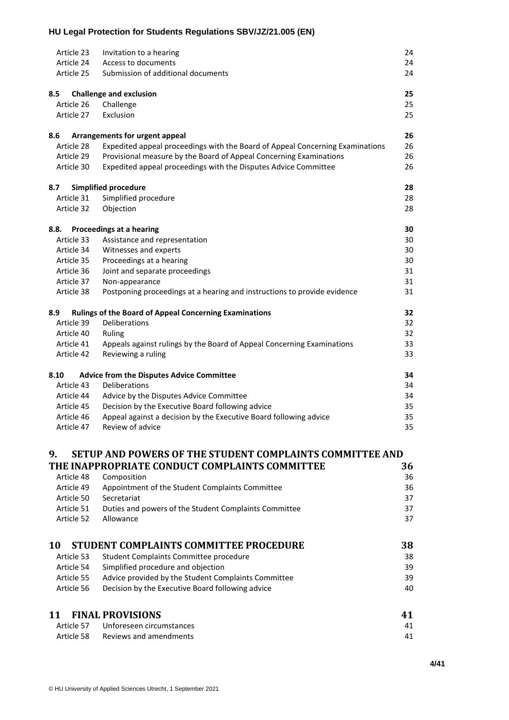|      | Article 23 | Invitation to a hearing                                                       | 24 |
|------|------------|-------------------------------------------------------------------------------|----|
|      | Article 24 | Access to documents                                                           | 24 |
|      | Article 25 | Submission of additional documents                                            | 24 |
| 8.5  |            | <b>Challenge and exclusion</b>                                                | 25 |
|      | Article 26 | Challenge                                                                     | 25 |
|      | Article 27 | Exclusion                                                                     | 25 |
| 8.6  |            | Arrangements for urgent appeal                                                | 26 |
|      | Article 28 | Expedited appeal proceedings with the Board of Appeal Concerning Examinations | 26 |
|      | Article 29 | Provisional measure by the Board of Appeal Concerning Examinations            | 26 |
|      | Article 30 | Expedited appeal proceedings with the Disputes Advice Committee               | 26 |
| 8.7  |            | <b>Simplified procedure</b>                                                   | 28 |
|      | Article 31 | Simplified procedure                                                          | 28 |
|      | Article 32 | Objection                                                                     | 28 |
| 8.8. |            | Proceedings at a hearing                                                      | 30 |
|      | Article 33 | Assistance and representation                                                 | 30 |
|      | Article 34 | Witnesses and experts                                                         | 30 |
|      | Article 35 | Proceedings at a hearing                                                      | 30 |
|      | Article 36 | Joint and separate proceedings                                                | 31 |
|      | Article 37 | Non-appearance                                                                | 31 |
|      | Article 38 | Postponing proceedings at a hearing and instructions to provide evidence      | 31 |
| 8.9  |            | <b>Rulings of the Board of Appeal Concerning Examinations</b>                 | 32 |
|      | Article 39 | Deliberations                                                                 | 32 |
|      | Article 40 | Ruling                                                                        | 32 |
|      | Article 41 | Appeals against rulings by the Board of Appeal Concerning Examinations        | 33 |
|      | Article 42 | Reviewing a ruling                                                            | 33 |
| 8.10 |            | <b>Advice from the Disputes Advice Committee</b>                              | 34 |
|      | Article 43 | Deliberations                                                                 | 34 |
|      | Article 44 | Advice by the Disputes Advice Committee                                       | 34 |
|      | Article 45 | Decision by the Executive Board following advice                              | 35 |
|      | Article 46 | Appeal against a decision by the Executive Board following advice             | 35 |
|      | Article 47 | Review of advice                                                              | 35 |
| 9.   |            | <b>SETUP AND POWERS OF THE STUDENT COMPLAINTS COMMITTEE AND</b>               |    |
|      |            | THE INAPPROPRIATE CONDUCT COMPLAINTS COMMITTEE                                | 36 |
|      | Article 48 | Composition                                                                   | 36 |
|      | Article 49 | Appointment of the Student Complaints Committee                               | 36 |
|      | Article 50 | Secretariat                                                                   | 37 |
|      | Article 51 | Duties and powers of the Student Complaints Committee                         | 37 |
|      | Article 52 | Allowance                                                                     | 37 |

| 10         | STUDENT COMPLAINTS COMMITTEE PROCEDURE              | 38 |
|------------|-----------------------------------------------------|----|
| Article 53 | Student Complaints Committee procedure              | 38 |
| Article 54 | Simplified procedure and objection                  | 39 |
| Article 55 | Advice provided by the Student Complaints Committee | 39 |
| Article 56 | Decision by the Executive Board following advice    | 40 |
|            |                                                     |    |

| 11 FINAL PROVISIONS                 | 41 |
|-------------------------------------|----|
| Article 57 Unforeseen circumstances | 41 |
| Article 58 Reviews and amendments   | 41 |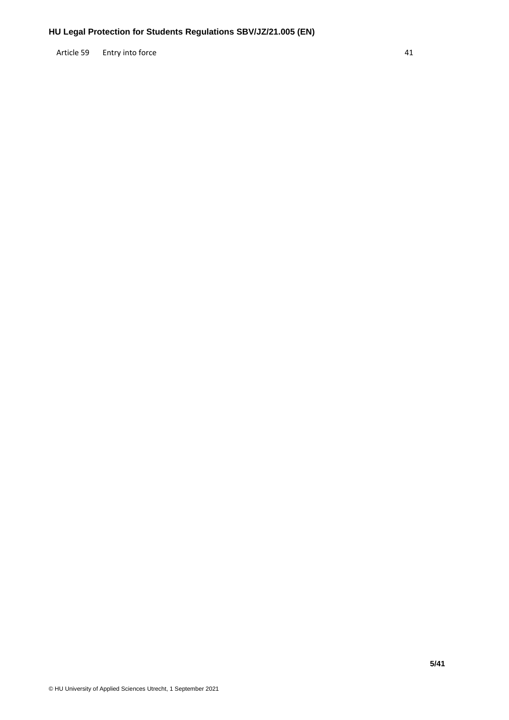Article 59 [Entry into force](#page-40-3) 41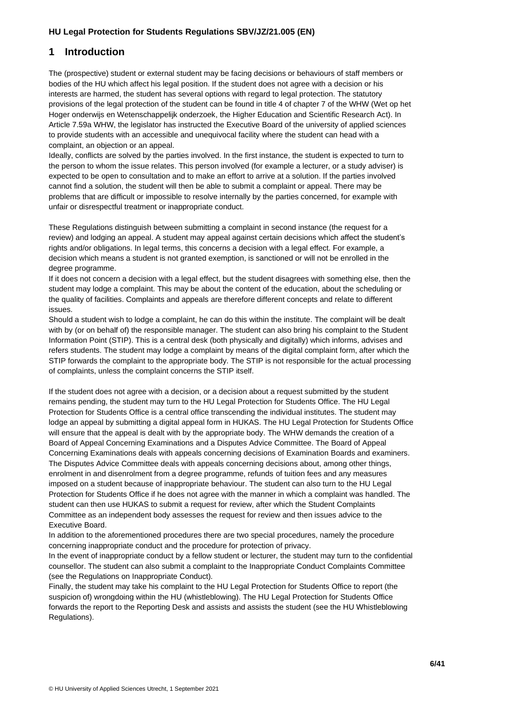# <span id="page-5-0"></span>**1 Introduction**

The (prospective) student or external student may be facing decisions or behaviours of staff members or bodies of the HU which affect his legal position. If the student does not agree with a decision or his interests are harmed, the student has several options with regard to legal protection. The statutory provisions of the legal protection of the student can be found in title 4 of chapter 7 of the WHW (Wet op het Hoger onderwijs en Wetenschappelijk onderzoek, the Higher Education and Scientific Research Act). In Article 7.59a WHW, the legislator has instructed the Executive Board of the university of applied sciences to provide students with an accessible and unequivocal facility where the student can head with a complaint, an objection or an appeal.

Ideally, conflicts are solved by the parties involved. In the first instance, the student is expected to turn to the person to whom the issue relates. This person involved (for example a lecturer, or a study adviser) is expected to be open to consultation and to make an effort to arrive at a solution. If the parties involved cannot find a solution, the student will then be able to submit a complaint or appeal. There may be problems that are difficult or impossible to resolve internally by the parties concerned, for example with unfair or disrespectful treatment or inappropriate conduct.

These Regulations distinguish between submitting a complaint in second instance (the request for a review) and lodging an appeal. A student may appeal against certain decisions which affect the student's rights and/or obligations. In legal terms, this concerns a decision with a legal effect. For example, a decision which means a student is not granted exemption, is sanctioned or will not be enrolled in the degree programme.

If it does not concern a decision with a legal effect, but the student disagrees with something else, then the student may lodge a complaint. This may be about the content of the education, about the scheduling or the quality of facilities. Complaints and appeals are therefore different concepts and relate to different issues.

Should a student wish to lodge a complaint, he can do this within the institute. The complaint will be dealt with by (or on behalf of) the responsible manager. The student can also bring his complaint to the Student Information Point (STIP). This is a central desk (both physically and digitally) which informs, advises and refers students. The student may lodge a complaint by means of the digital complaint form, after which the STIP forwards the complaint to the appropriate body. The STIP is not responsible for the actual processing of complaints, unless the complaint concerns the STIP itself.

If the student does not agree with a decision, or a decision about a request submitted by the student remains pending, the student may turn to the HU Legal Protection for Students Office. The HU Legal Protection for Students Office is a central office transcending the individual institutes. The student may lodge an appeal by submitting a digital appeal form in HUKAS. The HU Legal Protection for Students Office will ensure that the appeal is dealt with by the appropriate body. The WHW demands the creation of a Board of Appeal Concerning Examinations and a Disputes Advice Committee. The Board of Appeal Concerning Examinations deals with appeals concerning decisions of Examination Boards and examiners. The Disputes Advice Committee deals with appeals concerning decisions about, among other things, enrolment in and disenrolment from a degree programme, refunds of tuition fees and any measures imposed on a student because of inappropriate behaviour. The student can also turn to the HU Legal Protection for Students Office if he does not agree with the manner in which a complaint was handled. The student can then use HUKAS to submit a request for review, after which the Student Complaints Committee as an independent body assesses the request for review and then issues advice to the Executive Board.

In addition to the aforementioned procedures there are two special procedures, namely the procedure concerning inappropriate conduct and the procedure for protection of privacy.

In the event of inappropriate conduct by a fellow student or lecturer, the student may turn to the confidential counsellor. The student can also submit a complaint to the Inappropriate Conduct Complaints Committee (see the Regulations on Inappropriate Conduct).

Finally, the student may take his complaint to the HU Legal Protection for Students Office to report (the suspicion of) wrongdoing within the HU (whistleblowing). The HU Legal Protection for Students Office forwards the report to the Reporting Desk and assists and assists the student (see the HU Whistleblowing Regulations).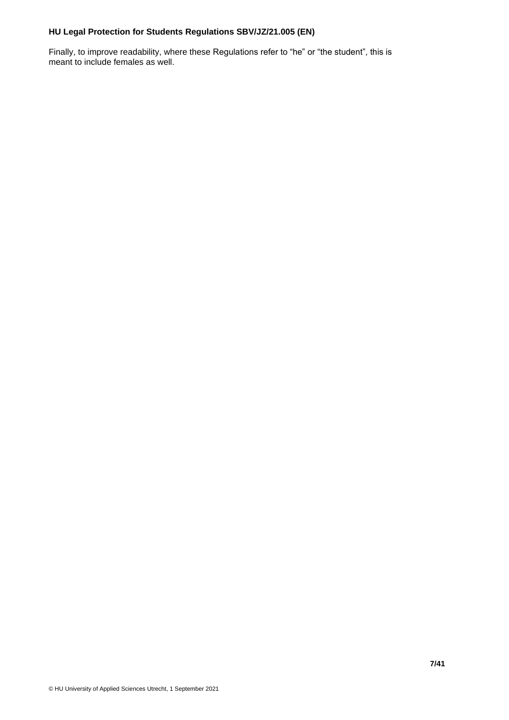Finally, to improve readability, where these Regulations refer to "he" or "the student", this is meant to include females as well.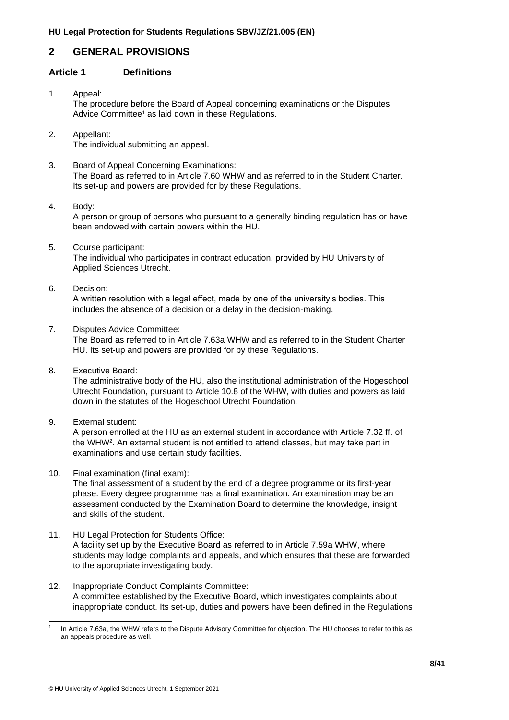# <span id="page-7-0"></span>**2 GENERAL PROVISIONS**

# <span id="page-7-1"></span>**Article 1 Definitions**

- 1. Appeal: The procedure before the Board of Appeal concerning examinations or the Disputes Advice Committee<sup>1</sup> as laid down in these Regulations.
- 2. Appellant: The individual submitting an appeal.
- 3. Board of Appeal Concerning Examinations: The Board as referred to in Article 7.60 WHW and as referred to in the Student Charter. Its set-up and powers are provided for by these Regulations.
- 4. Body:

A person or group of persons who pursuant to a generally binding regulation has or have been endowed with certain powers within the HU.

5. Course participant:

The individual who participates in contract education, provided by HU University of Applied Sciences Utrecht.

6. Decision:

A written resolution with a legal effect, made by one of the university's bodies. This includes the absence of a decision or a delay in the decision-making.

7. Disputes Advice Committee:

The Board as referred to in Article 7.63a WHW and as referred to in the Student Charter HU. Its set-up and powers are provided for by these Regulations.

8. Executive Board:

The administrative body of the HU, also the institutional administration of the Hogeschool Utrecht Foundation, pursuant to Article 10.8 of the WHW, with duties and powers as laid down in the statutes of the Hogeschool Utrecht Foundation.

9. External student:

A person enrolled at the HU as an external student in accordance with Article 7.32 ff. of the WHW<sup>2</sup> . An external student is not entitled to attend classes, but may take part in examinations and use certain study facilities.

10. Final examination (final exam):

The final assessment of a student by the end of a degree programme or its first-year phase. Every degree programme has a final examination. An examination may be an assessment conducted by the Examination Board to determine the knowledge, insight and skills of the student.

- 11. HU Legal Protection for Students Office: A facility set up by the Executive Board as referred to in Article 7.59a WHW, where students may lodge complaints and appeals, and which ensures that these are forwarded to the appropriate investigating body.
- 12. Inappropriate Conduct Complaints Committee: A committee established by the Executive Board, which investigates complaints about inappropriate conduct. Its set-up, duties and powers have been defined in the Regulations

<sup>1</sup> In Article 7.63a, the WHW refers to the Dispute Advisory Committee for objection. The HU chooses to refer to this as an appeals procedure as well.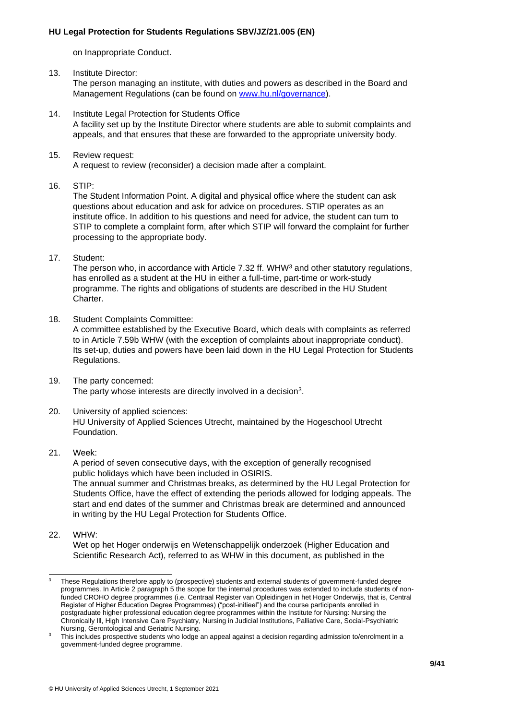on Inappropriate Conduct.

- 13. Institute Director: The person managing an institute, with duties and powers as described in the Board and Management Regulations (can be found on [www.hu.nl/governance\)](http://www.hu.nl/governance).
- 14. Institute Legal Protection for Students Office A facility set up by the Institute Director where students are able to submit complaints and appeals, and that ensures that these are forwarded to the appropriate university body.
- 15. Review request: A request to review (reconsider) a decision made after a complaint.
- 16. STIP:

The Student Information Point. A digital and physical office where the student can ask questions about education and ask for advice on procedures. STIP operates as an institute office. In addition to his questions and need for advice, the student can turn to STIP to complete a complaint form, after which STIP will forward the complaint for further processing to the appropriate body.

17. Student:

The person who, in accordance with Article 7.32 ff. WHW<sup>3</sup> and other statutory regulations, has enrolled as a student at the HU in either a full-time, part-time or work-study programme. The rights and obligations of students are described in the HU Student Charter.

18. Student Complaints Committee:

A committee established by the Executive Board, which deals with complaints as referred to in Article 7.59b WHW (with the exception of complaints about inappropriate conduct). Its set-up, duties and powers have been laid down in the HU Legal Protection for Students Regulations.

- 19. The party concerned: The party whose interests are directly involved in a decision<sup>3</sup>.
- 20. University of applied sciences: HU University of Applied Sciences Utrecht, maintained by the Hogeschool Utrecht Foundation.

#### 21. Week:

A period of seven consecutive days, with the exception of generally recognised public holidays which have been included in OSIRIS.

The annual summer and Christmas breaks, as determined by the HU Legal Protection for Students Office, have the effect of extending the periods allowed for lodging appeals. The start and end dates of the summer and Christmas break are determined and announced in writing by the HU Legal Protection for Students Office.

22. WHW:

Wet op het Hoger onderwijs en Wetenschappelijk onderzoek (Higher Education and Scientific Research Act), referred to as WHW in this document, as published in the

<sup>3</sup> These Regulations therefore apply to (prospective) students and external students of government-funded degree programmes. In Article 2 paragraph 5 the scope for the internal procedures was extended to include students of nonfunded CROHO degree programmes (i.e. Centraal Register van Opleidingen in het Hoger Onderwijs, that is, Central Register of Higher Education Degree Programmes) ("post-initieel") and the course participants enrolled in postgraduate higher professional education degree programmes within the Institute for Nursing: Nursing the Chronically Ill, High Intensive Care Psychiatry, Nursing in Judicial Institutions, Palliative Care, Social-Psychiatric Nursing, Gerontological and Geriatric Nursing.

This includes prospective students who lodge an appeal against a decision regarding admission to/enrolment in a government-funded degree programme.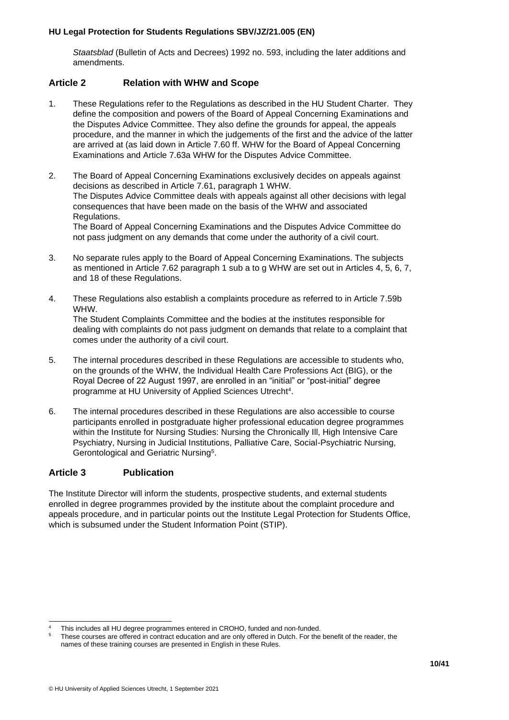*Staatsblad* (Bulletin of Acts and Decrees) 1992 no. 593, including the later additions and amendments.

# <span id="page-9-0"></span>**Article 2 Relation with WHW and Scope**

- 1. These Regulations refer to the Regulations as described in the HU Student Charter. They define the composition and powers of the Board of Appeal Concerning Examinations and the Disputes Advice Committee. They also define the grounds for appeal, the appeals procedure, and the manner in which the judgements of the first and the advice of the latter are arrived at (as laid down in Article 7.60 ff. WHW for the Board of Appeal Concerning Examinations and Article 7.63a WHW for the Disputes Advice Committee.
- 2. The Board of Appeal Concerning Examinations exclusively decides on appeals against decisions as described in Article 7.61, paragraph 1 WHW. The Disputes Advice Committee deals with appeals against all other decisions with legal consequences that have been made on the basis of the WHW and associated Regulations. The Board of Appeal Concerning Examinations and the Disputes Advice Committee do not pass judgment on any demands that come under the authority of a civil court.
- 3. No separate rules apply to the Board of Appeal Concerning Examinations. The subjects as mentioned in Article 7.62 paragraph 1 sub a to g WHW are set out in Articles 4, 5, 6, 7, and 18 of these Regulations.
- 4. These Regulations also establish a complaints procedure as referred to in Article 7.59b WHW. The Student Complaints Committee and the bodies at the institutes responsible for dealing with complaints do not pass judgment on demands that relate to a complaint that comes under the authority of a civil court.
- 5. The internal procedures described in these Regulations are accessible to students who, on the grounds of the WHW, the Individual Health Care Professions Act (BIG), or the Royal Decree of 22 August 1997, are enrolled in an "initial" or "post-initial" degree programme at HU University of Applied Sciences Utrecht<sup>4</sup>.
- 6. The internal procedures described in these Regulations are also accessible to course participants enrolled in postgraduate higher professional education degree programmes within the Institute for Nursing Studies: Nursing the Chronically Ill, High Intensive Care Psychiatry, Nursing in Judicial Institutions, Palliative Care, Social-Psychiatric Nursing, Gerontological and Geriatric Nursing<sup>5</sup>.

#### <span id="page-9-1"></span>**Article 3 Publication**

The Institute Director will inform the students, prospective students, and external students enrolled in degree programmes provided by the institute about the complaint procedure and appeals procedure, and in particular points out the Institute Legal Protection for Students Office, which is subsumed under the Student Information Point (STIP).

This includes all HU degree programmes entered in CROHO, funded and non-funded.

<sup>5</sup> These courses are offered in contract education and are only offered in Dutch. For the benefit of the reader, the names of these training courses are presented in English in these Rules.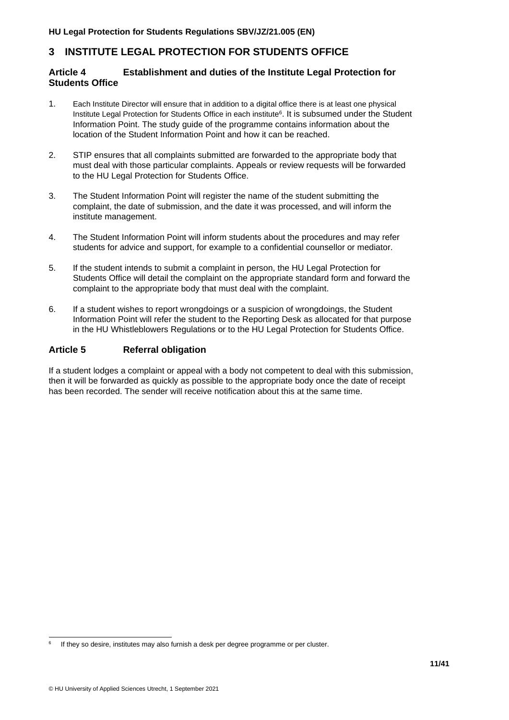# <span id="page-10-0"></span>**3 INSTITUTE LEGAL PROTECTION FOR STUDENTS OFFICE**

# <span id="page-10-1"></span>**Article 4 Establishment and duties of the Institute Legal Protection for Students Office**

- 1. Each Institute Director will ensure that in addition to a digital office there is at least one physical Institute Legal Protection for Students Office in each institute<sup>6</sup>. It is subsumed under the Student Information Point. The study guide of the programme contains information about the location of the Student Information Point and how it can be reached.
- 2. STIP ensures that all complaints submitted are forwarded to the appropriate body that must deal with those particular complaints. Appeals or review requests will be forwarded to the HU Legal Protection for Students Office.
- 3. The Student Information Point will register the name of the student submitting the complaint, the date of submission, and the date it was processed, and will inform the institute management.
- 4. The Student Information Point will inform students about the procedures and may refer students for advice and support, for example to a confidential counsellor or mediator.
- 5. If the student intends to submit a complaint in person, the HU Legal Protection for Students Office will detail the complaint on the appropriate standard form and forward the complaint to the appropriate body that must deal with the complaint.
- 6. If a student wishes to report wrongdoings or a suspicion of wrongdoings, the Student Information Point will refer the student to the Reporting Desk as allocated for that purpose in the HU Whistleblowers Regulations or to the HU Legal Protection for Students Office.

#### <span id="page-10-2"></span>**Article 5 Referral obligation**

If a student lodges a complaint or appeal with a body not competent to deal with this submission, then it will be forwarded as quickly as possible to the appropriate body once the date of receipt has been recorded. The sender will receive notification about this at the same time.

<sup>6</sup> If they so desire, institutes may also furnish a desk per degree programme or per cluster.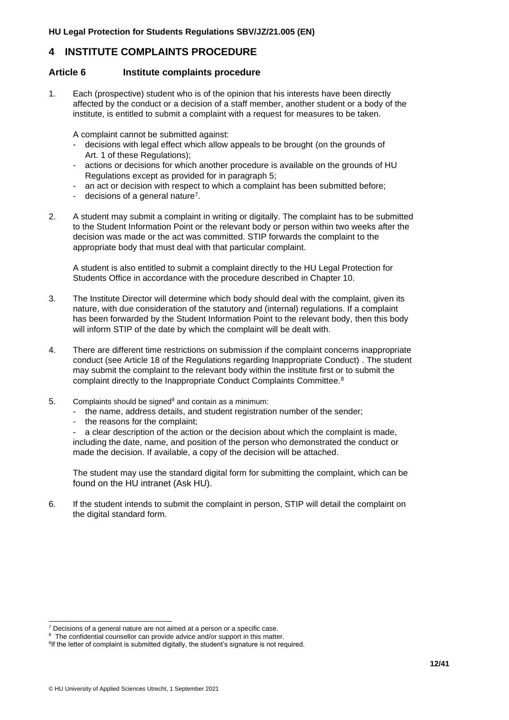# <span id="page-11-0"></span>**4 INSTITUTE COMPLAINTS PROCEDURE**

#### <span id="page-11-1"></span>**Article 6 Institute complaints procedure**

1. Each (prospective) student who is of the opinion that his interests have been directly affected by the conduct or a decision of a staff member, another student or a body of the institute, is entitled to submit a complaint with a request for measures to be taken.

A complaint cannot be submitted against:

- decisions with legal effect which allow appeals to be brought (on the grounds of Art. 1 of these Regulations);
- actions or decisions for which another procedure is available on the grounds of HU Regulations except as provided for in paragraph 5;
- an act or decision with respect to which a complaint has been submitted before;
- decisions of a general nature<sup>7</sup>.
- 2. A student may submit a complaint in writing or digitally. The complaint has to be submitted to the Student Information Point or the relevant body or person within two weeks after the decision was made or the act was committed. STIP forwards the complaint to the appropriate body that must deal with that particular complaint.

A student is also entitled to submit a complaint directly to the HU Legal Protection for Students Office in accordance with the procedure described in Chapter 10.

- 3. The Institute Director will determine which body should deal with the complaint, given its nature, with due consideration of the statutory and (internal) regulations. If a complaint has been forwarded by the Student Information Point to the relevant body, then this body will inform STIP of the date by which the complaint will be dealt with.
- 4. There are different time restrictions on submission if the complaint concerns inappropriate conduct (see Article 18 of the Regulations regarding Inappropriate Conduct) . The student may submit the complaint to the relevant body within the institute first or to submit the complaint directly to the Inappropriate Conduct Complaints Committee.<sup>8</sup>
- 5. Complaints should be signed<sup>9</sup> and contain as a minimum:
	- the name, address details, and student registration number of the sender;
	- the reasons for the complaint;

a clear description of the action or the decision about which the complaint is made. including the date, name, and position of the person who demonstrated the conduct or made the decision. If available, a copy of the decision will be attached.

The student may use the standard digital form for submitting the complaint, which can be found on the HU intranet (Ask HU).

6. If the student intends to submit the complaint in person, STIP will detail the complaint on the digital standard form.

 $7$  Decisions of a general nature are not aimed at a person or a specific case.

 $8$  The confidential counsellor can provide advice and/or support in this matter.

<sup>&</sup>lt;sup>9</sup>If the letter of complaint is submitted digitally, the student's signature is not required.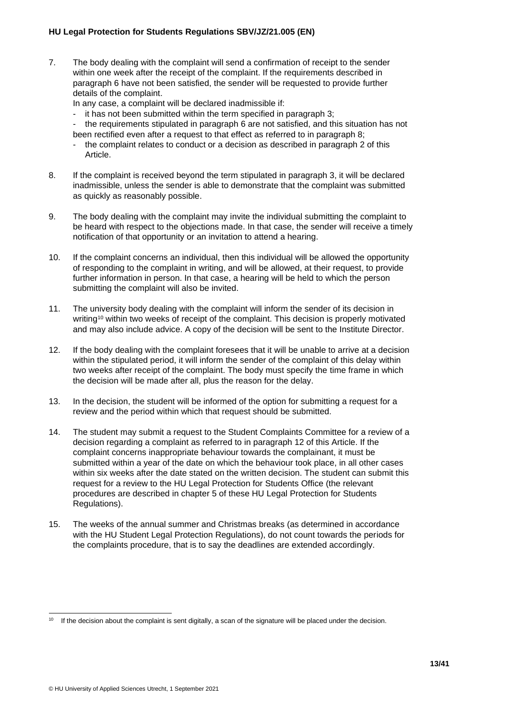7. The body dealing with the complaint will send a confirmation of receipt to the sender within one week after the receipt of the complaint. If the requirements described in paragraph 6 have not been satisfied, the sender will be requested to provide further details of the complaint.

In any case, a complaint will be declared inadmissible if:

- it has not been submitted within the term specified in paragraph 3;
- the requirements stipulated in paragraph 6 are not satisfied, and this situation has not been rectified even after a request to that effect as referred to in paragraph 8;
- the complaint relates to conduct or a decision as described in paragraph 2 of this Article.
- 8. If the complaint is received beyond the term stipulated in paragraph 3, it will be declared inadmissible, unless the sender is able to demonstrate that the complaint was submitted as quickly as reasonably possible.
- 9. The body dealing with the complaint may invite the individual submitting the complaint to be heard with respect to the objections made. In that case, the sender will receive a timely notification of that opportunity or an invitation to attend a hearing.
- 10. If the complaint concerns an individual, then this individual will be allowed the opportunity of responding to the complaint in writing, and will be allowed, at their request, to provide further information in person. In that case, a hearing will be held to which the person submitting the complaint will also be invited.
- 11. The university body dealing with the complaint will inform the sender of its decision in writing<sup>10</sup> within two weeks of receipt of the complaint. This decision is properly motivated and may also include advice. A copy of the decision will be sent to the Institute Director.
- 12. If the body dealing with the complaint foresees that it will be unable to arrive at a decision within the stipulated period, it will inform the sender of the complaint of this delay within two weeks after receipt of the complaint. The body must specify the time frame in which the decision will be made after all, plus the reason for the delay.
- 13. In the decision, the student will be informed of the option for submitting a request for a review and the period within which that request should be submitted.
- 14. The student may submit a request to the Student Complaints Committee for a review of a decision regarding a complaint as referred to in paragraph 12 of this Article. If the complaint concerns inappropriate behaviour towards the complainant, it must be submitted within a year of the date on which the behaviour took place, in all other cases within six weeks after the date stated on the written decision. The student can submit this request for a review to the HU Legal Protection for Students Office (the relevant procedures are described in chapter 5 of these HU Legal Protection for Students Regulations).
- 15. The weeks of the annual summer and Christmas breaks (as determined in accordance with the HU Student Legal Protection Regulations), do not count towards the periods for the complaints procedure, that is to say the deadlines are extended accordingly.

<sup>10</sup> If the decision about the complaint is sent digitally, a scan of the signature will be placed under the decision.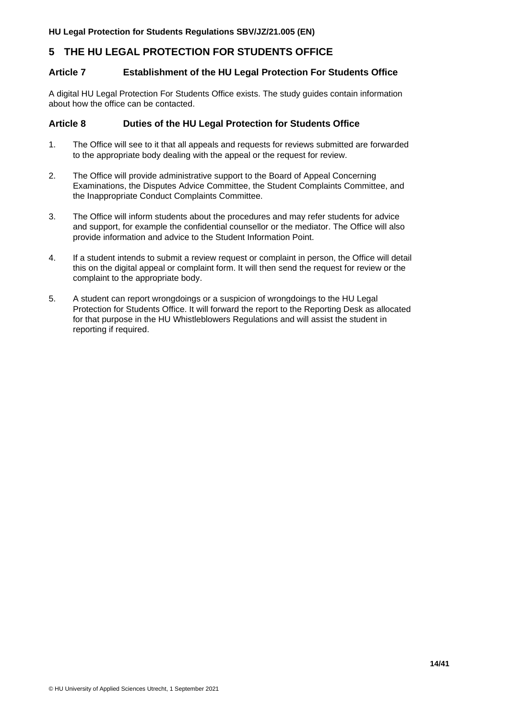# <span id="page-13-0"></span>**5 THE HU LEGAL PROTECTION FOR STUDENTS OFFICE**

#### <span id="page-13-1"></span>**Article 7 Establishment of the HU Legal Protection For Students Office**

A digital HU Legal Protection For Students Office exists. The study guides contain information about how the office can be contacted.

#### <span id="page-13-2"></span>**Article 8 Duties of the HU Legal Protection for Students Office**

- 1. The Office will see to it that all appeals and requests for reviews submitted are forwarded to the appropriate body dealing with the appeal or the request for review.
- 2. The Office will provide administrative support to the Board of Appeal Concerning Examinations, the Disputes Advice Committee, the Student Complaints Committee, and the Inappropriate Conduct Complaints Committee.
- 3. The Office will inform students about the procedures and may refer students for advice and support, for example the confidential counsellor or the mediator. The Office will also provide information and advice to the Student Information Point.
- 4. If a student intends to submit a review request or complaint in person, the Office will detail this on the digital appeal or complaint form. It will then send the request for review or the complaint to the appropriate body.
- 5. A student can report wrongdoings or a suspicion of wrongdoings to the HU Legal Protection for Students Office. It will forward the report to the Reporting Desk as allocated for that purpose in the HU Whistleblowers Regulations and will assist the student in reporting if required.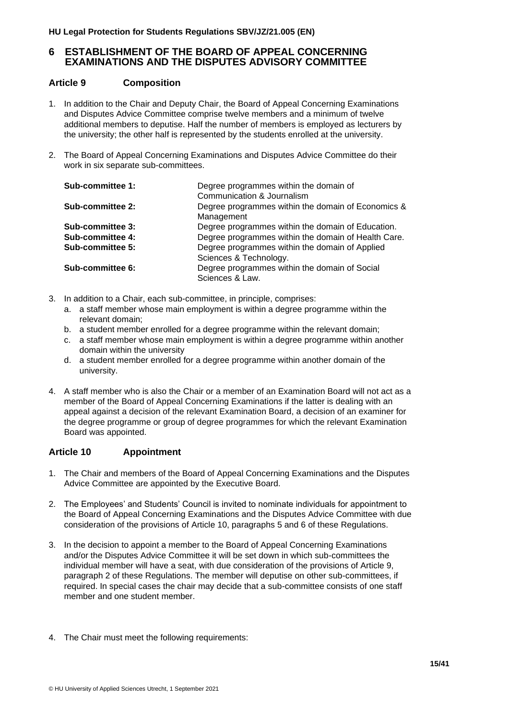# <span id="page-14-0"></span>**6 ESTABLISHMENT OF THE BOARD OF APPEAL CONCERNING EXAMINATIONS AND THE DISPUTES ADVISORY COMMITTEE**

# <span id="page-14-1"></span>**Article 9 Composition**

- 1. In addition to the Chair and Deputy Chair, the Board of Appeal Concerning Examinations and Disputes Advice Committee comprise twelve members and a minimum of twelve additional members to deputise. Half the number of members is employed as lecturers by the university; the other half is represented by the students enrolled at the university.
- 2. The Board of Appeal Concerning Examinations and Disputes Advice Committee do their work in six separate sub-committees.

| Sub-committee 1: | Degree programmes within the domain of<br>Communication & Journalism     |
|------------------|--------------------------------------------------------------------------|
| Sub-committee 2: | Degree programmes within the domain of Economics &<br>Management         |
| Sub-committee 3: | Degree programmes within the domain of Education.                        |
| Sub-committee 4: | Degree programmes within the domain of Health Care.                      |
| Sub-committee 5: | Degree programmes within the domain of Applied<br>Sciences & Technology. |
| Sub-committee 6: | Degree programmes within the domain of Social<br>Sciences & Law.         |

- 3. In addition to a Chair, each sub-committee, in principle, comprises:
	- a. a staff member whose main employment is within a degree programme within the relevant domain;
	- b. a student member enrolled for a degree programme within the relevant domain;
	- c. a staff member whose main employment is within a degree programme within another domain within the university
	- d. a student member enrolled for a degree programme within another domain of the university.
- 4. A staff member who is also the Chair or a member of an Examination Board will not act as a member of the Board of Appeal Concerning Examinations if the latter is dealing with an appeal against a decision of the relevant Examination Board, a decision of an examiner for the degree programme or group of degree programmes for which the relevant Examination Board was appointed.

# <span id="page-14-2"></span>**Article 10 Appointment**

- 1. The Chair and members of the Board of Appeal Concerning Examinations and the Disputes Advice Committee are appointed by the Executive Board.
- 2. The Employees' and Students' Council is invited to nominate individuals for appointment to the Board of Appeal Concerning Examinations and the Disputes Advice Committee with due consideration of the provisions of Article 10, paragraphs 5 and 6 of these Regulations.
- 3. In the decision to appoint a member to the Board of Appeal Concerning Examinations and/or the Disputes Advice Committee it will be set down in which sub-committees the individual member will have a seat, with due consideration of the provisions of Article 9, paragraph 2 of these Regulations. The member will deputise on other sub-committees, if required. In special cases the chair may decide that a sub-committee consists of one staff member and one student member.
- 4. The Chair must meet the following requirements: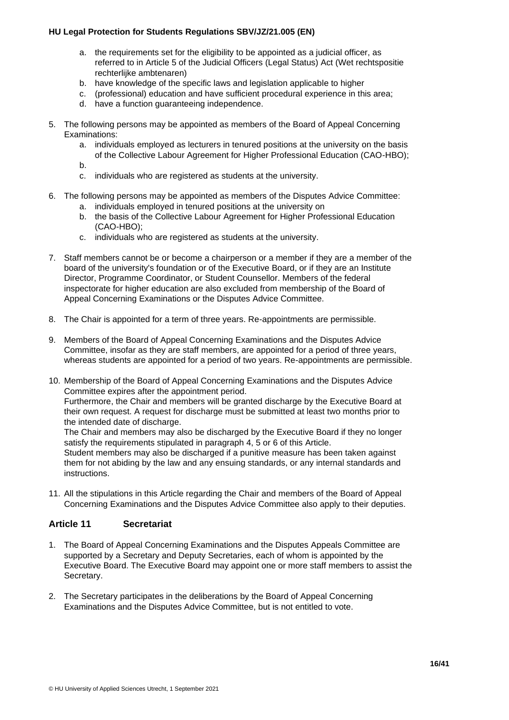- a. the requirements set for the eligibility to be appointed as a judicial officer, as referred to in Article 5 of the Judicial Officers (Legal Status) Act (Wet rechtspositie rechterlijke ambtenaren)
- b. have knowledge of the specific laws and legislation applicable to higher
- c. (professional) education and have sufficient procedural experience in this area;
- d. have a function guaranteeing independence.
- 5. The following persons may be appointed as members of the Board of Appeal Concerning Examinations:
	- a. individuals employed as lecturers in tenured positions at the university on the basis of the Collective Labour Agreement for Higher Professional Education (CAO-HBO);
	- b.
	- c. individuals who are registered as students at the university.
- 6. The following persons may be appointed as members of the Disputes Advice Committee:
	- a. individuals employed in tenured positions at the university on
	- b. the basis of the Collective Labour Agreement for Higher Professional Education (CAO-HBO);
	- c. individuals who are registered as students at the university.
- 7. Staff members cannot be or become a chairperson or a member if they are a member of the board of the university's foundation or of the Executive Board, or if they are an Institute Director, Programme Coordinator, or Student Counsellor. Members of the federal inspectorate for higher education are also excluded from membership of the Board of Appeal Concerning Examinations or the Disputes Advice Committee.
- 8. The Chair is appointed for a term of three years. Re-appointments are permissible.
- 9. Members of the Board of Appeal Concerning Examinations and the Disputes Advice Committee, insofar as they are staff members, are appointed for a period of three years, whereas students are appointed for a period of two years. Re-appointments are permissible.
- 10. Membership of the Board of Appeal Concerning Examinations and the Disputes Advice Committee expires after the appointment period. Furthermore, the Chair and members will be granted discharge by the Executive Board at their own request. A request for discharge must be submitted at least two months prior to the intended date of discharge. The Chair and members may also be discharged by the Executive Board if they no longer satisfy the requirements stipulated in paragraph 4, 5 or 6 of this Article. Student members may also be discharged if a punitive measure has been taken against

them for not abiding by the law and any ensuing standards, or any internal standards and instructions.

11. All the stipulations in this Article regarding the Chair and members of the Board of Appeal Concerning Examinations and the Disputes Advice Committee also apply to their deputies.

#### <span id="page-15-0"></span>**Article 11 Secretariat**

- 1. The Board of Appeal Concerning Examinations and the Disputes Appeals Committee are supported by a Secretary and Deputy Secretaries, each of whom is appointed by the Executive Board. The Executive Board may appoint one or more staff members to assist the Secretary.
- 2. The Secretary participates in the deliberations by the Board of Appeal Concerning Examinations and the Disputes Advice Committee, but is not entitled to vote.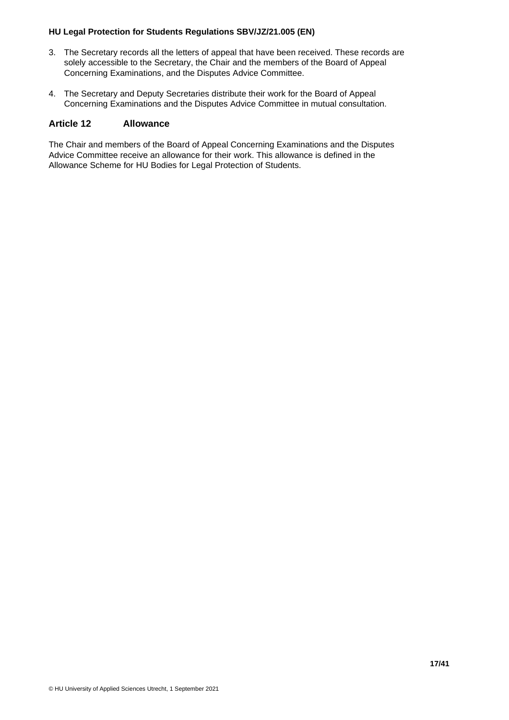- 3. The Secretary records all the letters of appeal that have been received. These records are solely accessible to the Secretary, the Chair and the members of the Board of Appeal Concerning Examinations, and the Disputes Advice Committee.
- 4. The Secretary and Deputy Secretaries distribute their work for the Board of Appeal Concerning Examinations and the Disputes Advice Committee in mutual consultation.

#### <span id="page-16-0"></span>**Article 12 Allowance**

The Chair and members of the Board of Appeal Concerning Examinations and the Disputes Advice Committee receive an allowance for their work. This allowance is defined in the Allowance Scheme for HU Bodies for Legal Protection of Students.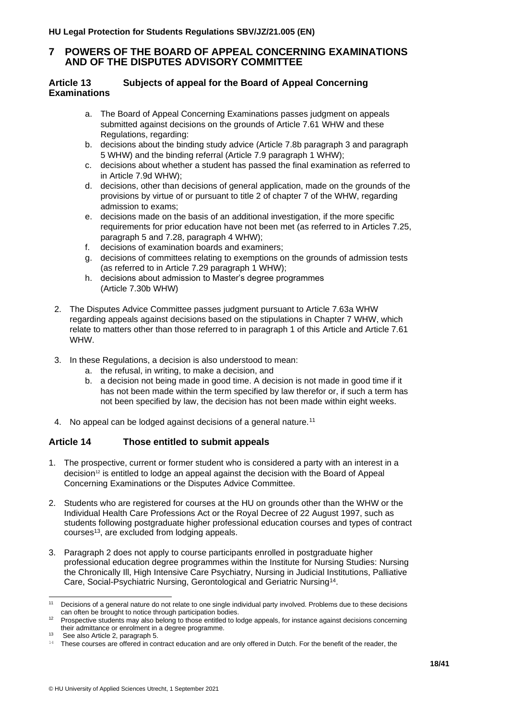# <span id="page-17-0"></span>**7 POWERS OF THE BOARD OF APPEAL CONCERNING EXAMINATIONS AND OF THE DISPUTES ADVISORY COMMITTEE**

#### <span id="page-17-1"></span>**Article 13 Subjects of appeal for the Board of Appeal Concerning Examinations**

- a. The Board of Appeal Concerning Examinations passes judgment on appeals submitted against decisions on the grounds of Article 7.61 WHW and these Regulations, regarding:
- b. decisions about the binding study advice (Article 7.8b paragraph 3 and paragraph 5 WHW) and the binding referral (Article 7.9 paragraph 1 WHW);
- c. decisions about whether a student has passed the final examination as referred to in Article 7.9d WHW);
- d. decisions, other than decisions of general application, made on the grounds of the provisions by virtue of or pursuant to title 2 of chapter 7 of the WHW, regarding admission to exams;
- e. decisions made on the basis of an additional investigation, if the more specific requirements for prior education have not been met (as referred to in Articles 7.25, paragraph 5 and 7.28, paragraph 4 WHW);
- f. decisions of examination boards and examiners;
- g. decisions of committees relating to exemptions on the grounds of admission tests (as referred to in Article 7.29 paragraph 1 WHW);
- h. decisions about admission to Master's degree programmes (Article 7.30b WHW)
- 2. The Disputes Advice Committee passes judgment pursuant to Article 7.63a WHW regarding appeals against decisions based on the stipulations in Chapter 7 WHW, which relate to matters other than those referred to in paragraph 1 of this Article and Article 7.61 WHW.
- 3. In these Regulations, a decision is also understood to mean:
	- a. the refusal, in writing, to make a decision, and
	- b. a decision not being made in good time. A decision is not made in good time if it has not been made within the term specified by law therefor or, if such a term has not been specified by law, the decision has not been made within eight weeks.
- 4. No appeal can be lodged against decisions of a general nature.<sup>11</sup>

# <span id="page-17-2"></span>**Article 14 Those entitled to submit appeals**

- 1. The prospective, current or former student who is considered a party with an interest in a  $decision<sup>12</sup>$  is entitled to lodge an appeal against the decision with the Board of Appeal Concerning Examinations or the Disputes Advice Committee.
- 2. Students who are registered for courses at the HU on grounds other than the WHW or the Individual Health Care Professions Act or the Royal Decree of 22 August 1997, such as students following postgraduate higher professional education courses and types of contract courses<sup>13</sup>, are excluded from lodging appeals.
- 3. Paragraph 2 does not apply to course participants enrolled in postgraduate higher professional education degree programmes within the Institute for Nursing Studies: Nursing the Chronically Ill, High Intensive Care Psychiatry, Nursing in Judicial Institutions, Palliative Care, Social-Psychiatric Nursing, Gerontological and Geriatric Nursing<sup>14</sup> .

<sup>11</sup> Decisions of a general nature do not relate to one single individual party involved. Problems due to these decisions can often be brought to notice through participation bodies.

<sup>&</sup>lt;sup>12</sup> Prospective students may also belong to those entitled to lodge appeals, for instance against decisions concerning their admittance or enrolment in a degree programme.

<sup>13</sup> See also Article 2, paragraph 5.

<sup>&</sup>lt;sup>14</sup> These courses are offered in contract education and are only offered in Dutch. For the benefit of the reader, the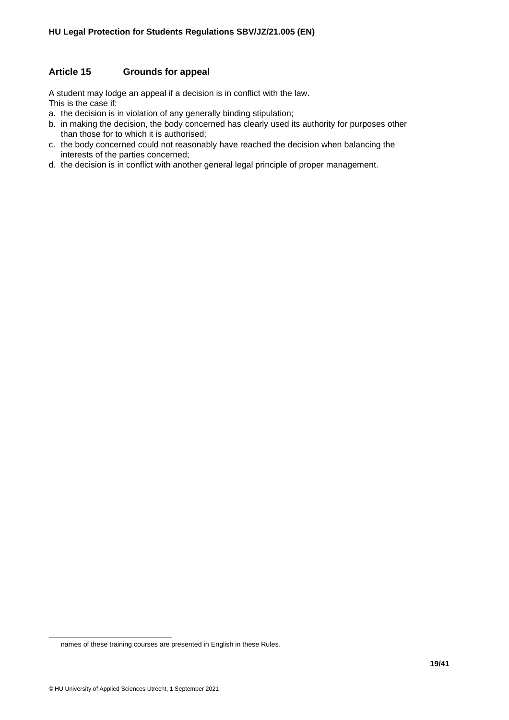# <span id="page-18-0"></span>**Article 15 Grounds for appeal**

A student may lodge an appeal if a decision is in conflict with the law. This is the case if:

- a. the decision is in violation of any generally binding stipulation;
- b. in making the decision, the body concerned has clearly used its authority for purposes other than those for to which it is authorised;
- c. the body concerned could not reasonably have reached the decision when balancing the interests of the parties concerned;
- d. the decision is in conflict with another general legal principle of proper management.

names of these training courses are presented in English in these Rules.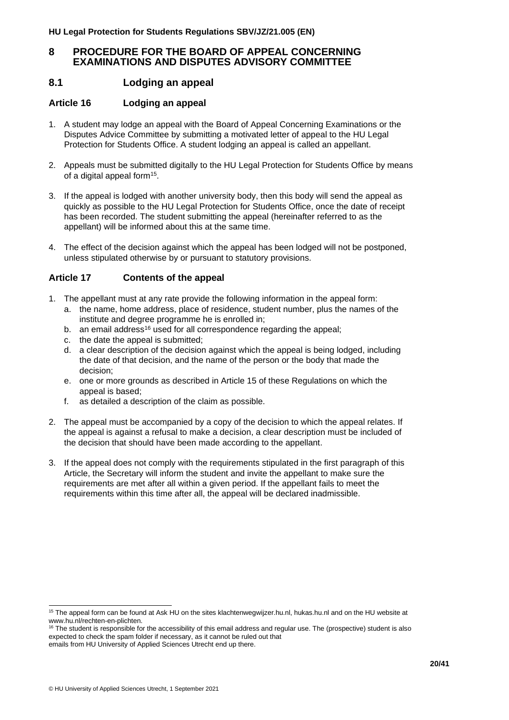# <span id="page-19-0"></span>**8 PROCEDURE FOR THE BOARD OF APPEAL CONCERNING EXAMINATIONS AND DISPUTES ADVISORY COMMITTEE**

# <span id="page-19-1"></span>**8.1 Lodging an appeal**

# <span id="page-19-2"></span>**Article 16 Lodging an appeal**

- 1. A student may lodge an appeal with the Board of Appeal Concerning Examinations or the Disputes Advice Committee by submitting a motivated letter of appeal to the HU Legal Protection for Students Office. A student lodging an appeal is called an appellant.
- 2. Appeals must be submitted digitally to the HU Legal Protection for Students Office by means of a digital appeal form<sup>15</sup>.
- 3. If the appeal is lodged with another university body, then this body will send the appeal as quickly as possible to the HU Legal Protection for Students Office, once the date of receipt has been recorded. The student submitting the appeal (hereinafter referred to as the appellant) will be informed about this at the same time.
- 4. The effect of the decision against which the appeal has been lodged will not be postponed, unless stipulated otherwise by or pursuant to statutory provisions.

# <span id="page-19-3"></span>**Article 17 Contents of the appeal**

- 1. The appellant must at any rate provide the following information in the appeal form:
	- a. the name, home address, place of residence, student number, plus the names of the institute and degree programme he is enrolled in;
	- b. an email address<sup>16</sup> used for all correspondence regarding the appeal;
	- c. the date the appeal is submitted;
	- d. a clear description of the decision against which the appeal is being lodged, including the date of that decision, and the name of the person or the body that made the decision;
	- e. one or more grounds as described in Article 15 of these Regulations on which the appeal is based;
	- f. as detailed a description of the claim as possible.
- 2. The appeal must be accompanied by a copy of the decision to which the appeal relates. If the appeal is against a refusal to make a decision, a clear description must be included of the decision that should have been made according to the appellant.
- 3. If the appeal does not comply with the requirements stipulated in the first paragraph of this Article, the Secretary will inform the student and invite the appellant to make sure the requirements are met after all within a given period. If the appellant fails to meet the requirements within this time after all, the appeal will be declared inadmissible.

<sup>&</sup>lt;sup>15</sup> The appeal form can be found at Ask HU on the sites klachtenwegwijzer.hu.nl, hukas.hu.nl and on the HU website at www.hu.nl/rechten-en-plichten.

<sup>&</sup>lt;sup>16</sup> The student is responsible for the accessibility of this email address and regular use. The (prospective) student is also expected to check the spam folder if necessary, as it cannot be ruled out that

emails from HU University of Applied Sciences Utrecht end up there.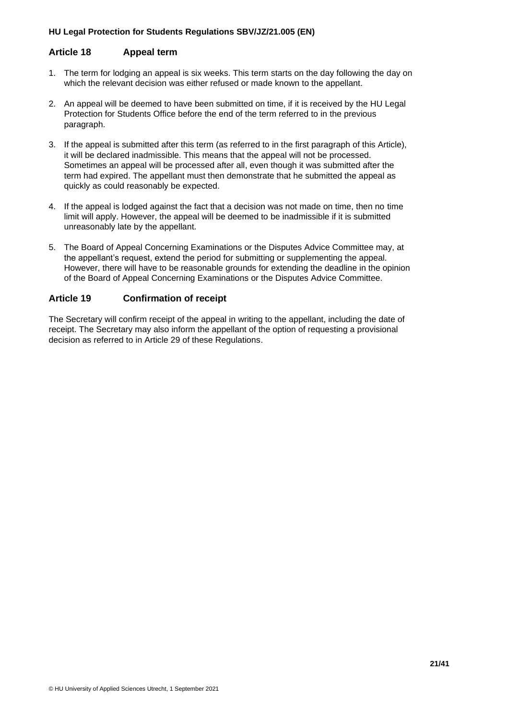### <span id="page-20-0"></span>**Article 18 Appeal term**

- 1. The term for lodging an appeal is six weeks. This term starts on the day following the day on which the relevant decision was either refused or made known to the appellant.
- 2. An appeal will be deemed to have been submitted on time, if it is received by the HU Legal Protection for Students Office before the end of the term referred to in the previous paragraph.
- 3. If the appeal is submitted after this term (as referred to in the first paragraph of this Article), it will be declared inadmissible. This means that the appeal will not be processed. Sometimes an appeal will be processed after all, even though it was submitted after the term had expired. The appellant must then demonstrate that he submitted the appeal as quickly as could reasonably be expected.
- 4. If the appeal is lodged against the fact that a decision was not made on time, then no time limit will apply. However, the appeal will be deemed to be inadmissible if it is submitted unreasonably late by the appellant.
- 5. The Board of Appeal Concerning Examinations or the Disputes Advice Committee may, at the appellant's request, extend the period for submitting or supplementing the appeal. However, there will have to be reasonable grounds for extending the deadline in the opinion of the Board of Appeal Concerning Examinations or the Disputes Advice Committee.

# <span id="page-20-1"></span>**Article 19 Confirmation of receipt**

The Secretary will confirm receipt of the appeal in writing to the appellant, including the date of receipt. The Secretary may also inform the appellant of the option of requesting a provisional decision as referred to in Article 29 of these Regulations.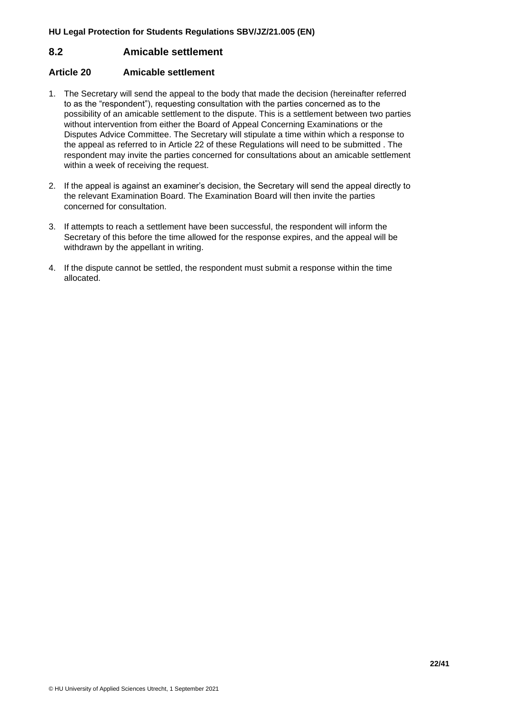# <span id="page-21-0"></span>**8.2 Amicable settlement**

#### <span id="page-21-1"></span>**Article 20 Amicable settlement**

- 1. The Secretary will send the appeal to the body that made the decision (hereinafter referred to as the "respondent"), requesting consultation with the parties concerned as to the possibility of an amicable settlement to the dispute. This is a settlement between two parties without intervention from either the Board of Appeal Concerning Examinations or the Disputes Advice Committee. The Secretary will stipulate a time within which a response to the appeal as referred to in Article 22 of these Regulations will need to be submitted . The respondent may invite the parties concerned for consultations about an amicable settlement within a week of receiving the request.
- 2. If the appeal is against an examiner's decision, the Secretary will send the appeal directly to the relevant Examination Board. The Examination Board will then invite the parties concerned for consultation.
- 3. If attempts to reach a settlement have been successful, the respondent will inform the Secretary of this before the time allowed for the response expires, and the appeal will be withdrawn by the appellant in writing.
- 4. If the dispute cannot be settled, the respondent must submit a response within the time allocated.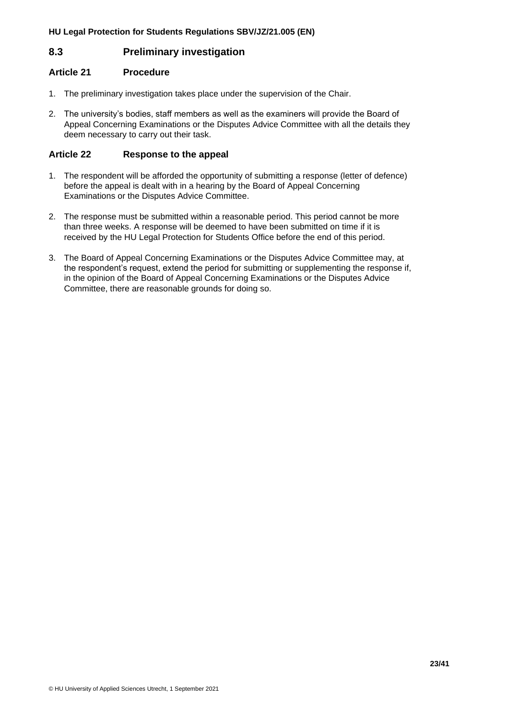# <span id="page-22-0"></span>**8.3 Preliminary investigation**

### <span id="page-22-1"></span>**Article 21 Procedure**

- 1. The preliminary investigation takes place under the supervision of the Chair.
- 2. The university's bodies, staff members as well as the examiners will provide the Board of Appeal Concerning Examinations or the Disputes Advice Committee with all the details they deem necessary to carry out their task.

# <span id="page-22-2"></span>**Article 22 Response to the appeal**

- 1. The respondent will be afforded the opportunity of submitting a response (letter of defence) before the appeal is dealt with in a hearing by the Board of Appeal Concerning Examinations or the Disputes Advice Committee.
- 2. The response must be submitted within a reasonable period. This period cannot be more than three weeks. A response will be deemed to have been submitted on time if it is received by the HU Legal Protection for Students Office before the end of this period.
- 3. The Board of Appeal Concerning Examinations or the Disputes Advice Committee may, at the respondent's request, extend the period for submitting or supplementing the response if, in the opinion of the Board of Appeal Concerning Examinations or the Disputes Advice Committee, there are reasonable grounds for doing so.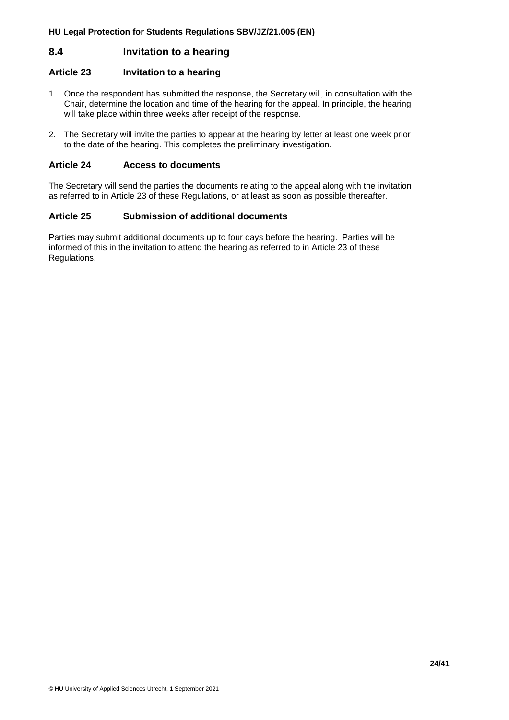# <span id="page-23-0"></span>**8.4 Invitation to a hearing**

#### <span id="page-23-1"></span>**Article 23 Invitation to a hearing**

- 1. Once the respondent has submitted the response, the Secretary will, in consultation with the Chair, determine the location and time of the hearing for the appeal. In principle, the hearing will take place within three weeks after receipt of the response.
- 2. The Secretary will invite the parties to appear at the hearing by letter at least one week prior to the date of the hearing. This completes the preliminary investigation.

#### <span id="page-23-2"></span>**Article 24 Access to documents**

The Secretary will send the parties the documents relating to the appeal along with the invitation as referred to in Article 23 of these Regulations, or at least as soon as possible thereafter.

#### <span id="page-23-3"></span>**Article 25 Submission of additional documents**

Parties may submit additional documents up to four days before the hearing. Parties will be informed of this in the invitation to attend the hearing as referred to in Article 23 of these Regulations.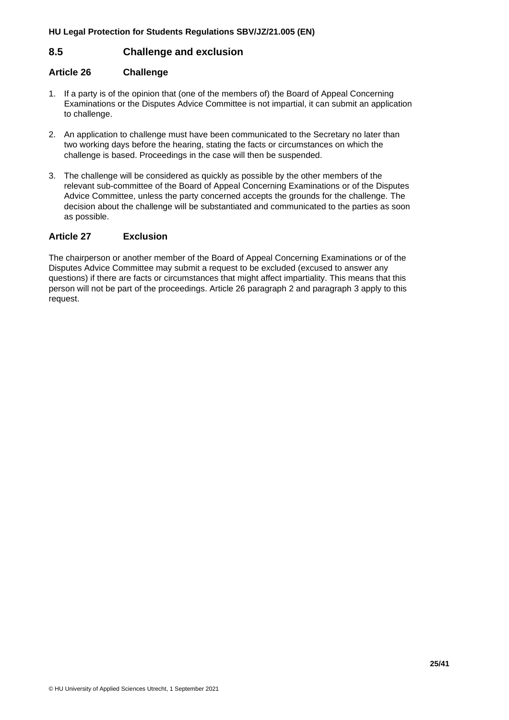# <span id="page-24-0"></span>**8.5 Challenge and exclusion**

### <span id="page-24-1"></span>**Article 26 Challenge**

- 1. If a party is of the opinion that (one of the members of) the Board of Appeal Concerning Examinations or the Disputes Advice Committee is not impartial, it can submit an application to challenge.
- 2. An application to challenge must have been communicated to the Secretary no later than two working days before the hearing, stating the facts or circumstances on which the challenge is based. Proceedings in the case will then be suspended.
- 3. The challenge will be considered as quickly as possible by the other members of the relevant sub-committee of the Board of Appeal Concerning Examinations or of the Disputes Advice Committee, unless the party concerned accepts the grounds for the challenge. The decision about the challenge will be substantiated and communicated to the parties as soon as possible.

#### <span id="page-24-2"></span>**Article 27 Exclusion**

The chairperson or another member of the Board of Appeal Concerning Examinations or of the Disputes Advice Committee may submit a request to be excluded (excused to answer any questions) if there are facts or circumstances that might affect impartiality. This means that this person will not be part of the proceedings. Article 26 paragraph 2 and paragraph 3 apply to this request.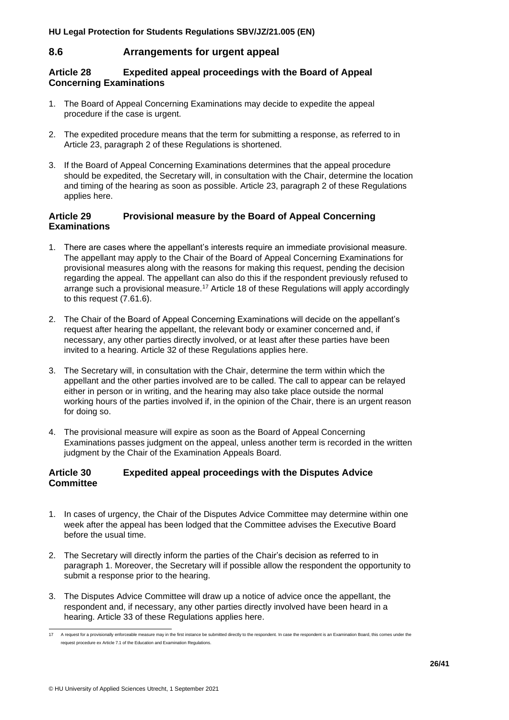# <span id="page-25-0"></span>**8.6 Arrangements for urgent appeal**

#### <span id="page-25-1"></span>**Article 28 Expedited appeal proceedings with the Board of Appeal Concerning Examinations**

- 1. The Board of Appeal Concerning Examinations may decide to expedite the appeal procedure if the case is urgent.
- 2. The expedited procedure means that the term for submitting a response, as referred to in Article 23, paragraph 2 of these Regulations is shortened.
- 3. If the Board of Appeal Concerning Examinations determines that the appeal procedure should be expedited, the Secretary will, in consultation with the Chair, determine the location and timing of the hearing as soon as possible. Article 23, paragraph 2 of these Regulations applies here.

#### <span id="page-25-2"></span>**Article 29 Provisional measure by the Board of Appeal Concerning Examinations**

- 1. There are cases where the appellant's interests require an immediate provisional measure. The appellant may apply to the Chair of the Board of Appeal Concerning Examinations for provisional measures along with the reasons for making this request, pending the decision regarding the appeal. The appellant can also do this if the respondent previously refused to arrange such a provisional measure.<sup>17</sup> Article 18 of these Regulations will apply accordingly to this request (7.61.6).
- 2. The Chair of the Board of Appeal Concerning Examinations will decide on the appellant's request after hearing the appellant, the relevant body or examiner concerned and, if necessary, any other parties directly involved, or at least after these parties have been invited to a hearing. Article 32 of these Regulations applies here.
- 3. The Secretary will, in consultation with the Chair, determine the term within which the appellant and the other parties involved are to be called. The call to appear can be relayed either in person or in writing, and the hearing may also take place outside the normal working hours of the parties involved if, in the opinion of the Chair, there is an urgent reason for doing so.
- 4. The provisional measure will expire as soon as the Board of Appeal Concerning Examinations passes judgment on the appeal, unless another term is recorded in the written judgment by the Chair of the Examination Appeals Board.

#### <span id="page-25-3"></span>**Article 30 Expedited appeal proceedings with the Disputes Advice Committee**

- 1. In cases of urgency, the Chair of the Disputes Advice Committee may determine within one week after the appeal has been lodged that the Committee advises the Executive Board before the usual time.
- 2. The Secretary will directly inform the parties of the Chair's decision as referred to in paragraph 1. Moreover, the Secretary will if possible allow the respondent the opportunity to submit a response prior to the hearing.
- 3. The Disputes Advice Committee will draw up a notice of advice once the appellant, the respondent and, if necessary, any other parties directly involved have been heard in a hearing. Article 33 of these Regulations applies here.

<sup>17</sup> A request for a provisionally enforceable measure may in the first instance be submitted directly to the respondent. In case the respondent is an Examination Board, this comes under the request procedure ex Article 7.1 of the Education and Examination Regulations.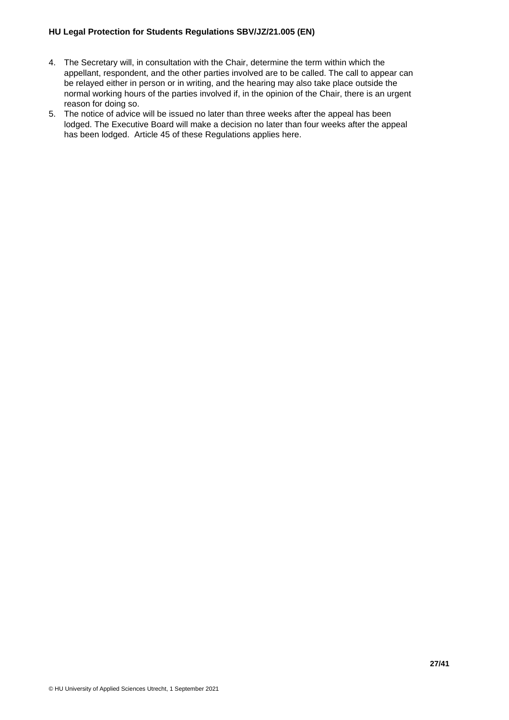- 4. The Secretary will, in consultation with the Chair, determine the term within which the appellant, respondent, and the other parties involved are to be called. The call to appear can be relayed either in person or in writing, and the hearing may also take place outside the normal working hours of the parties involved if, in the opinion of the Chair, there is an urgent reason for doing so.
- 5. The notice of advice will be issued no later than three weeks after the appeal has been lodged. The Executive Board will make a decision no later than four weeks after the appeal has been lodged. Article 45 of these Regulations applies here.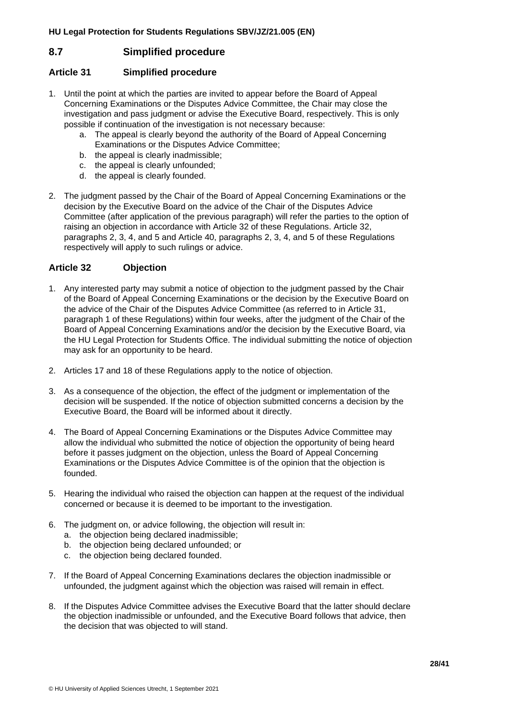# <span id="page-27-0"></span>**8.7 Simplified procedure**

# <span id="page-27-1"></span>**Article 31 Simplified procedure**

- 1. Until the point at which the parties are invited to appear before the Board of Appeal Concerning Examinations or the Disputes Advice Committee, the Chair may close the investigation and pass judgment or advise the Executive Board, respectively. This is only possible if continuation of the investigation is not necessary because:
	- a. The appeal is clearly beyond the authority of the Board of Appeal Concerning Examinations or the Disputes Advice Committee;
	- b. the appeal is clearly inadmissible;
	- c. the appeal is clearly unfounded;
	- d. the appeal is clearly founded.
- 2. The judgment passed by the Chair of the Board of Appeal Concerning Examinations or the decision by the Executive Board on the advice of the Chair of the Disputes Advice Committee (after application of the previous paragraph) will refer the parties to the option of raising an objection in accordance with Article 32 of these Regulations. Article 32, paragraphs 2, 3, 4, and 5 and Article 40, paragraphs 2, 3, 4, and 5 of these Regulations respectively will apply to such rulings or advice.

# <span id="page-27-2"></span>**Article 32 Objection**

- 1. Any interested party may submit a notice of objection to the judgment passed by the Chair of the Board of Appeal Concerning Examinations or the decision by the Executive Board on the advice of the Chair of the Disputes Advice Committee (as referred to in Article 31, paragraph 1 of these Regulations) within four weeks, after the judgment of the Chair of the Board of Appeal Concerning Examinations and/or the decision by the Executive Board, via the HU Legal Protection for Students Office. The individual submitting the notice of objection may ask for an opportunity to be heard.
- 2. Articles 17 and 18 of these Regulations apply to the notice of objection.
- 3. As a consequence of the objection, the effect of the judgment or implementation of the decision will be suspended. If the notice of objection submitted concerns a decision by the Executive Board, the Board will be informed about it directly.
- 4. The Board of Appeal Concerning Examinations or the Disputes Advice Committee may allow the individual who submitted the notice of objection the opportunity of being heard before it passes judgment on the objection, unless the Board of Appeal Concerning Examinations or the Disputes Advice Committee is of the opinion that the objection is founded.
- 5. Hearing the individual who raised the objection can happen at the request of the individual concerned or because it is deemed to be important to the investigation.
- 6. The judgment on, or advice following, the objection will result in:
	- a. the objection being declared inadmissible;
	- b. the objection being declared unfounded; or
	- c. the objection being declared founded.
- 7. If the Board of Appeal Concerning Examinations declares the objection inadmissible or unfounded, the judgment against which the objection was raised will remain in effect.
- 8. If the Disputes Advice Committee advises the Executive Board that the latter should declare the objection inadmissible or unfounded, and the Executive Board follows that advice, then the decision that was objected to will stand.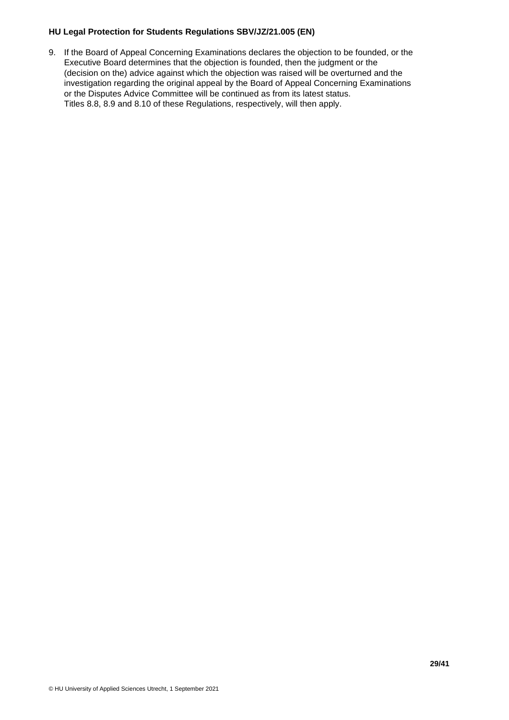9. If the Board of Appeal Concerning Examinations declares the objection to be founded, or the Executive Board determines that the objection is founded, then the judgment or the (decision on the) advice against which the objection was raised will be overturned and the investigation regarding the original appeal by the Board of Appeal Concerning Examinations or the Disputes Advice Committee will be continued as from its latest status. Titles 8.8, 8.9 and 8.10 of these Regulations, respectively, will then apply.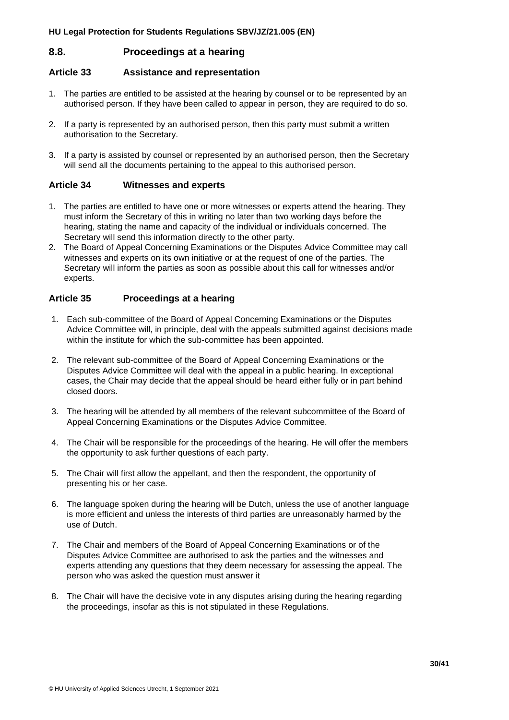# <span id="page-29-0"></span>**8.8. Proceedings at a hearing**

# <span id="page-29-1"></span>**Article 33 Assistance and representation**

- 1. The parties are entitled to be assisted at the hearing by counsel or to be represented by an authorised person. If they have been called to appear in person, they are required to do so.
- 2. If a party is represented by an authorised person, then this party must submit a written authorisation to the Secretary.
- 3. If a party is assisted by counsel or represented by an authorised person, then the Secretary will send all the documents pertaining to the appeal to this authorised person.

# <span id="page-29-2"></span>**Article 34 Witnesses and experts**

- 1. The parties are entitled to have one or more witnesses or experts attend the hearing. They must inform the Secretary of this in writing no later than two working days before the hearing, stating the name and capacity of the individual or individuals concerned. The Secretary will send this information directly to the other party.
- 2. The Board of Appeal Concerning Examinations or the Disputes Advice Committee may call witnesses and experts on its own initiative or at the request of one of the parties. The Secretary will inform the parties as soon as possible about this call for witnesses and/or experts.

# <span id="page-29-3"></span>**Article 35 Proceedings at a hearing**

- 1. Each sub-committee of the Board of Appeal Concerning Examinations or the Disputes Advice Committee will, in principle, deal with the appeals submitted against decisions made within the institute for which the sub-committee has been appointed.
- 2. The relevant sub-committee of the Board of Appeal Concerning Examinations or the Disputes Advice Committee will deal with the appeal in a public hearing. In exceptional cases, the Chair may decide that the appeal should be heard either fully or in part behind closed doors.
- 3. The hearing will be attended by all members of the relevant subcommittee of the Board of Appeal Concerning Examinations or the Disputes Advice Committee.
- 4. The Chair will be responsible for the proceedings of the hearing. He will offer the members the opportunity to ask further questions of each party.
- 5. The Chair will first allow the appellant, and then the respondent, the opportunity of presenting his or her case.
- 6. The language spoken during the hearing will be Dutch, unless the use of another language is more efficient and unless the interests of third parties are unreasonably harmed by the use of Dutch.
- 7. The Chair and members of the Board of Appeal Concerning Examinations or of the Disputes Advice Committee are authorised to ask the parties and the witnesses and experts attending any questions that they deem necessary for assessing the appeal. The person who was asked the question must answer it
- 8. The Chair will have the decisive vote in any disputes arising during the hearing regarding the proceedings, insofar as this is not stipulated in these Regulations.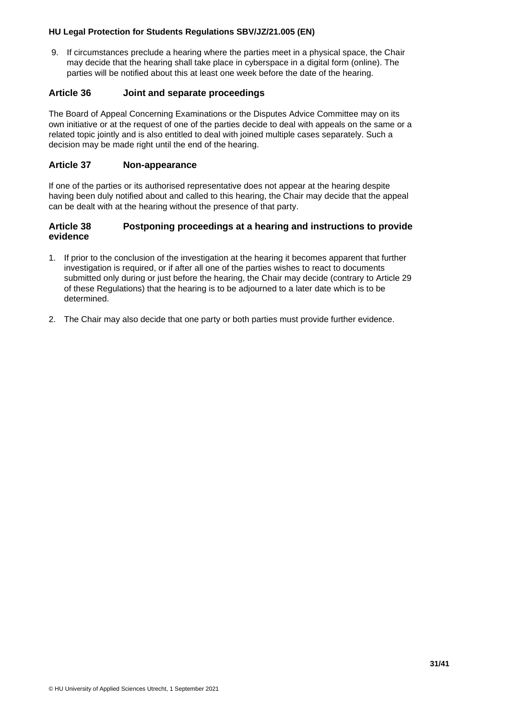9. If circumstances preclude a hearing where the parties meet in a physical space, the Chair may decide that the hearing shall take place in cyberspace in a digital form (online). The parties will be notified about this at least one week before the date of the hearing.

#### <span id="page-30-0"></span>**Article 36 Joint and separate proceedings**

The Board of Appeal Concerning Examinations or the Disputes Advice Committee may on its own initiative or at the request of one of the parties decide to deal with appeals on the same or a related topic jointly and is also entitled to deal with joined multiple cases separately. Such a decision may be made right until the end of the hearing.

#### <span id="page-30-1"></span>**Article 37 Non-appearance**

If one of the parties or its authorised representative does not appear at the hearing despite having been duly notified about and called to this hearing, the Chair may decide that the appeal can be dealt with at the hearing without the presence of that party.

#### <span id="page-30-2"></span>**Article 38 Postponing proceedings at a hearing and instructions to provide evidence**

- 1. If prior to the conclusion of the investigation at the hearing it becomes apparent that further investigation is required, or if after all one of the parties wishes to react to documents submitted only during or just before the hearing, the Chair may decide (contrary to Article 29 of these Regulations) that the hearing is to be adjourned to a later date which is to be determined.
- 2. The Chair may also decide that one party or both parties must provide further evidence.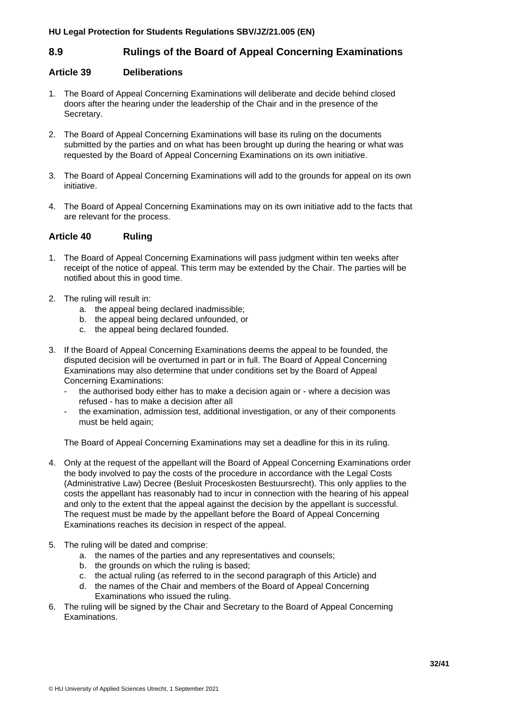# <span id="page-31-0"></span>**8.9 Rulings of the Board of Appeal Concerning Examinations**

#### <span id="page-31-1"></span>**Article 39 Deliberations**

- 1. The Board of Appeal Concerning Examinations will deliberate and decide behind closed doors after the hearing under the leadership of the Chair and in the presence of the Secretary.
- 2. The Board of Appeal Concerning Examinations will base its ruling on the documents submitted by the parties and on what has been brought up during the hearing or what was requested by the Board of Appeal Concerning Examinations on its own initiative.
- 3. The Board of Appeal Concerning Examinations will add to the grounds for appeal on its own initiative.
- 4. The Board of Appeal Concerning Examinations may on its own initiative add to the facts that are relevant for the process.

#### <span id="page-31-2"></span>**Article 40 Ruling**

- 1. The Board of Appeal Concerning Examinations will pass judgment within ten weeks after receipt of the notice of appeal. This term may be extended by the Chair. The parties will be notified about this in good time.
- 2. The ruling will result in:
	- a. the appeal being declared inadmissible;
	- b. the appeal being declared unfounded, or
	- c. the appeal being declared founded.
- 3. If the Board of Appeal Concerning Examinations deems the appeal to be founded, the disputed decision will be overturned in part or in full. The Board of Appeal Concerning Examinations may also determine that under conditions set by the Board of Appeal Concerning Examinations:
	- the authorised body either has to make a decision again or where a decision was refused - has to make a decision after all
	- the examination, admission test, additional investigation, or any of their components must be held again;

The Board of Appeal Concerning Examinations may set a deadline for this in its ruling.

- 4. Only at the request of the appellant will the Board of Appeal Concerning Examinations order the body involved to pay the costs of the procedure in accordance with the Legal Costs (Administrative Law) Decree (Besluit Proceskosten Bestuursrecht). This only applies to the costs the appellant has reasonably had to incur in connection with the hearing of his appeal and only to the extent that the appeal against the decision by the appellant is successful. The request must be made by the appellant before the Board of Appeal Concerning Examinations reaches its decision in respect of the appeal.
- 5. The ruling will be dated and comprise:
	- a. the names of the parties and any representatives and counsels;
	- b. the grounds on which the ruling is based;
	- c. the actual ruling (as referred to in the second paragraph of this Article) and
	- d. the names of the Chair and members of the Board of Appeal Concerning Examinations who issued the ruling.
- 6. The ruling will be signed by the Chair and Secretary to the Board of Appeal Concerning Examinations.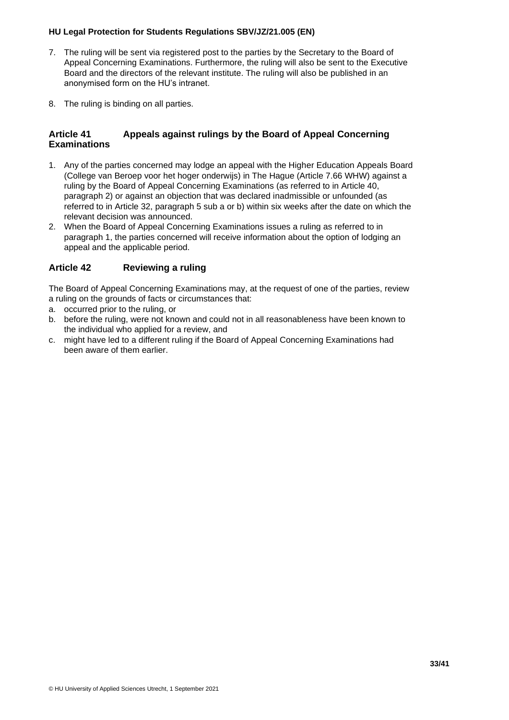- 7. The ruling will be sent via registered post to the parties by the Secretary to the Board of Appeal Concerning Examinations. Furthermore, the ruling will also be sent to the Executive Board and the directors of the relevant institute. The ruling will also be published in an anonymised form on the HU's intranet.
- 8. The ruling is binding on all parties.

### <span id="page-32-0"></span>**Article 41 Appeals against rulings by the Board of Appeal Concerning Examinations**

- 1. Any of the parties concerned may lodge an appeal with the Higher Education Appeals Board (College van Beroep voor het hoger onderwijs) in The Hague (Article 7.66 WHW) against a ruling by the Board of Appeal Concerning Examinations (as referred to in Article 40, paragraph 2) or against an objection that was declared inadmissible or unfounded (as referred to in Article 32, paragraph 5 sub a or b) within six weeks after the date on which the relevant decision was announced.
- 2. When the Board of Appeal Concerning Examinations issues a ruling as referred to in paragraph 1, the parties concerned will receive information about the option of lodging an appeal and the applicable period.

# <span id="page-32-1"></span>**Article 42 Reviewing a ruling**

The Board of Appeal Concerning Examinations may, at the request of one of the parties, review a ruling on the grounds of facts or circumstances that:

- a. occurred prior to the ruling, or
- b. before the ruling, were not known and could not in all reasonableness have been known to the individual who applied for a review, and
- c. might have led to a different ruling if the Board of Appeal Concerning Examinations had been aware of them earlier.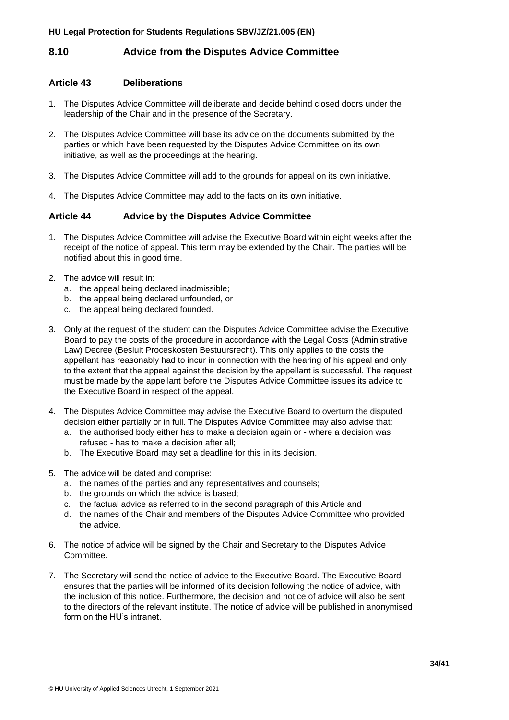# <span id="page-33-0"></span>**8.10 Advice from the Disputes Advice Committee**

#### <span id="page-33-1"></span>**Article 43 Deliberations**

- 1. The Disputes Advice Committee will deliberate and decide behind closed doors under the leadership of the Chair and in the presence of the Secretary.
- 2. The Disputes Advice Committee will base its advice on the documents submitted by the parties or which have been requested by the Disputes Advice Committee on its own initiative, as well as the proceedings at the hearing.
- 3. The Disputes Advice Committee will add to the grounds for appeal on its own initiative.
- 4. The Disputes Advice Committee may add to the facts on its own initiative.

# <span id="page-33-2"></span>**Article 44 Advice by the Disputes Advice Committee**

- 1. The Disputes Advice Committee will advise the Executive Board within eight weeks after the receipt of the notice of appeal. This term may be extended by the Chair. The parties will be notified about this in good time.
- 2. The advice will result in:
	- a. the appeal being declared inadmissible;
	- b. the appeal being declared unfounded, or
	- c. the appeal being declared founded.
- 3. Only at the request of the student can the Disputes Advice Committee advise the Executive Board to pay the costs of the procedure in accordance with the Legal Costs (Administrative Law) Decree (Besluit Proceskosten Bestuursrecht). This only applies to the costs the appellant has reasonably had to incur in connection with the hearing of his appeal and only to the extent that the appeal against the decision by the appellant is successful. The request must be made by the appellant before the Disputes Advice Committee issues its advice to the Executive Board in respect of the appeal.
- 4. The Disputes Advice Committee may advise the Executive Board to overturn the disputed decision either partially or in full. The Disputes Advice Committee may also advise that:
	- a. the authorised body either has to make a decision again or where a decision was refused - has to make a decision after all;
	- b. The Executive Board may set a deadline for this in its decision.
- 5. The advice will be dated and comprise:
	- a. the names of the parties and any representatives and counsels;
	- b. the grounds on which the advice is based;
	- c. the factual advice as referred to in the second paragraph of this Article and
	- d. the names of the Chair and members of the Disputes Advice Committee who provided the advice.
- 6. The notice of advice will be signed by the Chair and Secretary to the Disputes Advice Committee.
- 7. The Secretary will send the notice of advice to the Executive Board. The Executive Board ensures that the parties will be informed of its decision following the notice of advice, with the inclusion of this notice. Furthermore, the decision and notice of advice will also be sent to the directors of the relevant institute. The notice of advice will be published in anonymised form on the HU's intranet.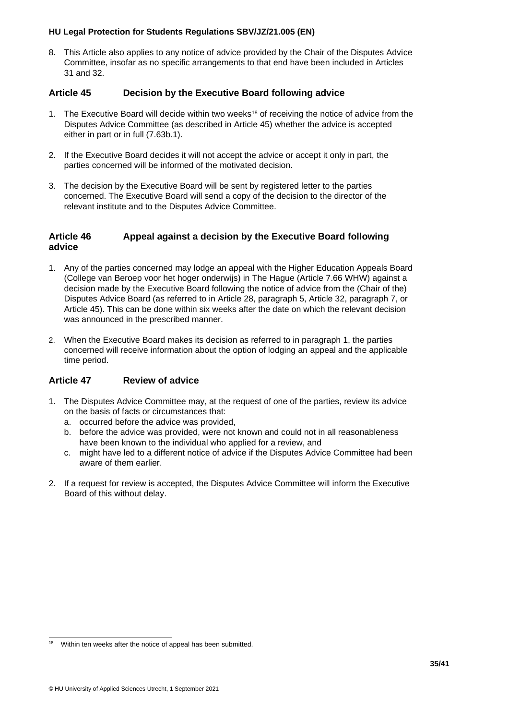8. This Article also applies to any notice of advice provided by the Chair of the Disputes Advice Committee, insofar as no specific arrangements to that end have been included in Articles 31 and 32.

# <span id="page-34-0"></span>**Article 45 Decision by the Executive Board following advice**

- 1. The Executive Board will decide within two weeks<sup>18</sup> of receiving the notice of advice from the Disputes Advice Committee (as described in Article 45) whether the advice is accepted either in part or in full (7.63b.1).
- 2. If the Executive Board decides it will not accept the advice or accept it only in part, the parties concerned will be informed of the motivated decision.
- 3. The decision by the Executive Board will be sent by registered letter to the parties concerned. The Executive Board will send a copy of the decision to the director of the relevant institute and to the Disputes Advice Committee.

#### <span id="page-34-1"></span>**Article 46 Appeal against a decision by the Executive Board following advice**

- 1. Any of the parties concerned may lodge an appeal with the Higher Education Appeals Board (College van Beroep voor het hoger onderwijs) in The Hague (Article 7.66 WHW) against a decision made by the Executive Board following the notice of advice from the (Chair of the) Disputes Advice Board (as referred to in Article 28, paragraph 5, Article 32, paragraph 7, or Article 45). This can be done within six weeks after the date on which the relevant decision was announced in the prescribed manner.
- 2. When the Executive Board makes its decision as referred to in paragraph 1, the parties concerned will receive information about the option of lodging an appeal and the applicable time period.

# <span id="page-34-2"></span>**Article 47 Review of advice**

- 1. The Disputes Advice Committee may, at the request of one of the parties, review its advice on the basis of facts or circumstances that:
	- a. occurred before the advice was provided,
	- b. before the advice was provided, were not known and could not in all reasonableness have been known to the individual who applied for a review, and
	- c. might have led to a different notice of advice if the Disputes Advice Committee had been aware of them earlier.
- 2. If a request for review is accepted, the Disputes Advice Committee will inform the Executive Board of this without delay.

<sup>&</sup>lt;sup>18</sup> Within ten weeks after the notice of appeal has been submitted.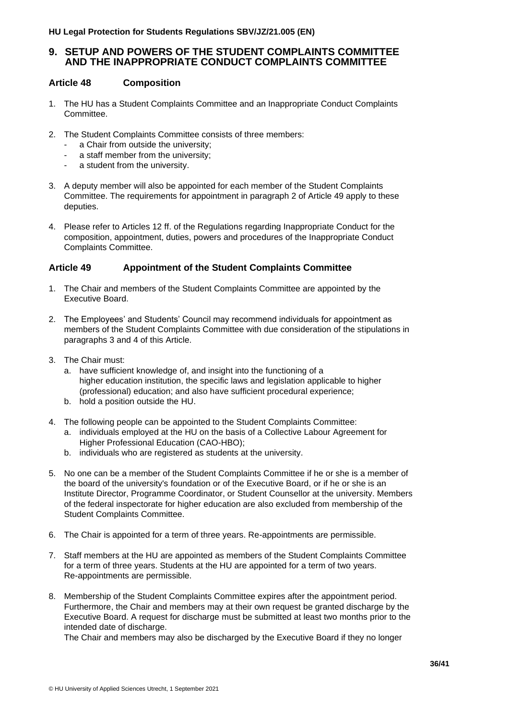# <span id="page-35-0"></span>**9. SETUP AND POWERS OF THE STUDENT COMPLAINTS COMMITTEE AND THE INAPPROPRIATE CONDUCT COMPLAINTS COMMITTEE**

#### <span id="page-35-1"></span>**Article 48 Composition**

- 1. The HU has a Student Complaints Committee and an Inappropriate Conduct Complaints Committee.
- 2. The Student Complaints Committee consists of three members:
	- a Chair from outside the university;<br>- a staff member from the university;
	- a staff member from the university;
	- a student from the university.
- 3. A deputy member will also be appointed for each member of the Student Complaints Committee. The requirements for appointment in paragraph 2 of Article 49 apply to these deputies.
- 4. Please refer to Articles 12 ff. of the Regulations regarding Inappropriate Conduct for the composition, appointment, duties, powers and procedures of the Inappropriate Conduct Complaints Committee.

# <span id="page-35-2"></span>**Article 49 Appointment of the Student Complaints Committee**

- 1. The Chair and members of the Student Complaints Committee are appointed by the Executive Board.
- 2. The Employees' and Students' Council may recommend individuals for appointment as members of the Student Complaints Committee with due consideration of the stipulations in paragraphs 3 and 4 of this Article.
- 3. The Chair must:
	- a. have sufficient knowledge of, and insight into the functioning of a higher education institution, the specific laws and legislation applicable to higher (professional) education; and also have sufficient procedural experience;
	- b. hold a position outside the HU.
- 4. The following people can be appointed to the Student Complaints Committee:
	- a. individuals employed at the HU on the basis of a Collective Labour Agreement for Higher Professional Education (CAO-HBO);
	- b. individuals who are registered as students at the university.
- 5. No one can be a member of the Student Complaints Committee if he or she is a member of the board of the university's foundation or of the Executive Board, or if he or she is an Institute Director, Programme Coordinator, or Student Counsellor at the university. Members of the federal inspectorate for higher education are also excluded from membership of the Student Complaints Committee.
- 6. The Chair is appointed for a term of three years. Re-appointments are permissible.
- 7. Staff members at the HU are appointed as members of the Student Complaints Committee for a term of three years. Students at the HU are appointed for a term of two years. Re-appointments are permissible.
- 8. Membership of the Student Complaints Committee expires after the appointment period. Furthermore, the Chair and members may at their own request be granted discharge by the Executive Board. A request for discharge must be submitted at least two months prior to the intended date of discharge.

The Chair and members may also be discharged by the Executive Board if they no longer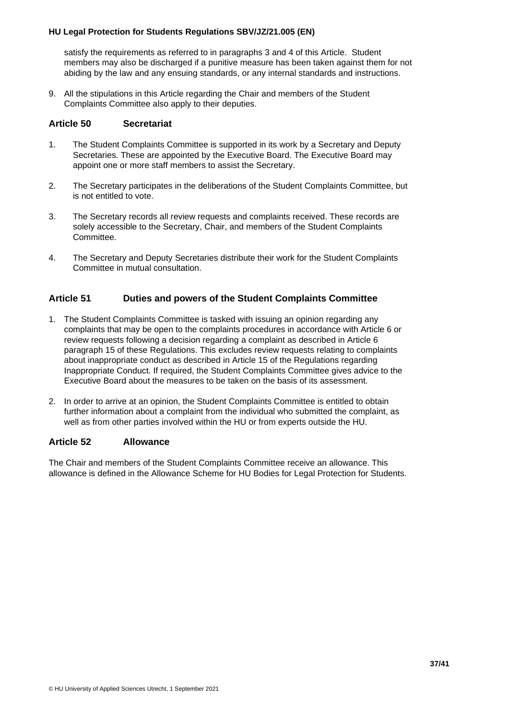satisfy the requirements as referred to in paragraphs 3 and 4 of this Article. Student members may also be discharged if a punitive measure has been taken against them for not abiding by the law and any ensuing standards, or any internal standards and instructions.

9. All the stipulations in this Article regarding the Chair and members of the Student Complaints Committee also apply to their deputies.

#### <span id="page-36-0"></span>**Article 50 Secretariat**

- 1. The Student Complaints Committee is supported in its work by a Secretary and Deputy Secretaries. These are appointed by the Executive Board. The Executive Board may appoint one or more staff members to assist the Secretary.
- 2. The Secretary participates in the deliberations of the Student Complaints Committee, but is not entitled to vote.
- 3. The Secretary records all review requests and complaints received. These records are solely accessible to the Secretary, Chair, and members of the Student Complaints Committee.
- 4. The Secretary and Deputy Secretaries distribute their work for the Student Complaints Committee in mutual consultation.

# <span id="page-36-1"></span>**Article 51 Duties and powers of the Student Complaints Committee**

- 1. The Student Complaints Committee is tasked with issuing an opinion regarding any complaints that may be open to the complaints procedures in accordance with Article 6 or review requests following a decision regarding a complaint as described in Article 6 paragraph 15 of these Regulations. This excludes review requests relating to complaints about inappropriate conduct as described in Article 15 of the Regulations regarding Inappropriate Conduct. If required, the Student Complaints Committee gives advice to the Executive Board about the measures to be taken on the basis of its assessment.
- 2. In order to arrive at an opinion, the Student Complaints Committee is entitled to obtain further information about a complaint from the individual who submitted the complaint, as well as from other parties involved within the HU or from experts outside the HU.

#### <span id="page-36-2"></span>**Article 52 Allowance**

The Chair and members of the Student Complaints Committee receive an allowance. This allowance is defined in the Allowance Scheme for HU Bodies for Legal Protection for Students.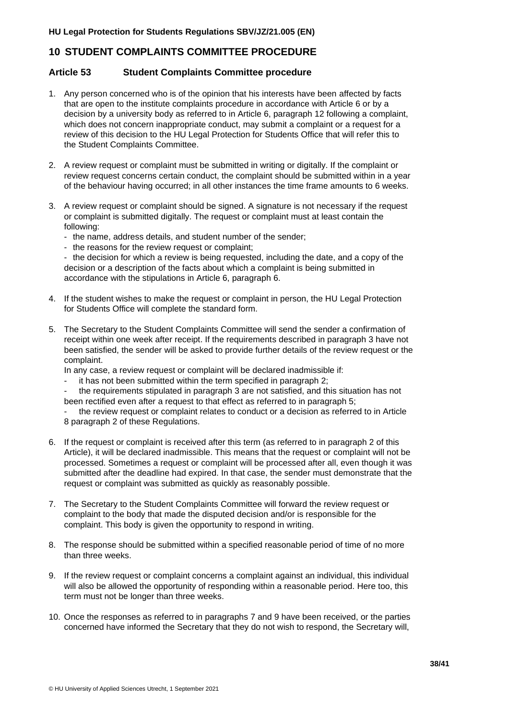# <span id="page-37-0"></span>**10 STUDENT COMPLAINTS COMMITTEE PROCEDURE**

#### <span id="page-37-1"></span>**Article 53 Student Complaints Committee procedure**

- 1. Any person concerned who is of the opinion that his interests have been affected by facts that are open to the institute complaints procedure in accordance with Article 6 or by a decision by a university body as referred to in Article 6, paragraph 12 following a complaint, which does not concern inappropriate conduct, may submit a complaint or a request for a review of this decision to the HU Legal Protection for Students Office that will refer this to the Student Complaints Committee.
- 2. A review request or complaint must be submitted in writing or digitally. If the complaint or review request concerns certain conduct, the complaint should be submitted within in a year of the behaviour having occurred; in all other instances the time frame amounts to 6 weeks.
- 3. A review request or complaint should be signed. A signature is not necessary if the request or complaint is submitted digitally. The request or complaint must at least contain the following:
	- the name, address details, and student number of the sender;
	- the reasons for the review request or complaint;

- the decision for which a review is being requested, including the date, and a copy of the decision or a description of the facts about which a complaint is being submitted in accordance with the stipulations in Article 6, paragraph 6.

- 4. If the student wishes to make the request or complaint in person, the HU Legal Protection for Students Office will complete the standard form.
- 5. The Secretary to the Student Complaints Committee will send the sender a confirmation of receipt within one week after receipt. If the requirements described in paragraph 3 have not been satisfied, the sender will be asked to provide further details of the review request or the complaint.

In any case, a review request or complaint will be declared inadmissible if:

- it has not been submitted within the term specified in paragraph 2;

- the requirements stipulated in paragraph 3 are not satisfied, and this situation has not been rectified even after a request to that effect as referred to in paragraph 5;

the review request or complaint relates to conduct or a decision as referred to in Article 8 paragraph 2 of these Regulations.

- 6. If the request or complaint is received after this term (as referred to in paragraph 2 of this Article), it will be declared inadmissible. This means that the request or complaint will not be processed. Sometimes a request or complaint will be processed after all, even though it was submitted after the deadline had expired. In that case, the sender must demonstrate that the request or complaint was submitted as quickly as reasonably possible.
- 7. The Secretary to the Student Complaints Committee will forward the review request or complaint to the body that made the disputed decision and/or is responsible for the complaint. This body is given the opportunity to respond in writing.
- 8. The response should be submitted within a specified reasonable period of time of no more than three weeks.
- 9. If the review request or complaint concerns a complaint against an individual, this individual will also be allowed the opportunity of responding within a reasonable period. Here too, this term must not be longer than three weeks.
- 10. Once the responses as referred to in paragraphs 7 and 9 have been received, or the parties concerned have informed the Secretary that they do not wish to respond, the Secretary will,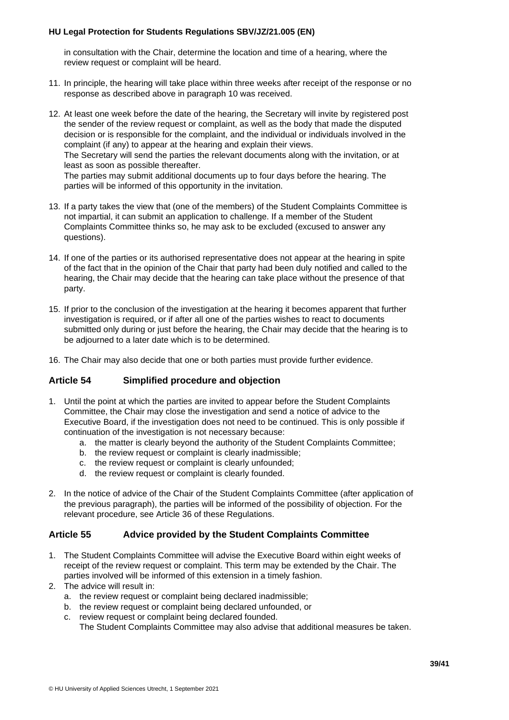in consultation with the Chair, determine the location and time of a hearing, where the review request or complaint will be heard.

- 11. In principle, the hearing will take place within three weeks after receipt of the response or no response as described above in paragraph 10 was received.
- 12. At least one week before the date of the hearing, the Secretary will invite by registered post the sender of the review request or complaint, as well as the body that made the disputed decision or is responsible for the complaint, and the individual or individuals involved in the complaint (if any) to appear at the hearing and explain their views. The Secretary will send the parties the relevant documents along with the invitation, or at least as soon as possible thereafter. The parties may submit additional documents up to four days before the hearing. The parties will be informed of this opportunity in the invitation.
- 13. If a party takes the view that (one of the members) of the Student Complaints Committee is not impartial, it can submit an application to challenge. If a member of the Student Complaints Committee thinks so, he may ask to be excluded (excused to answer any questions).
- 14. If one of the parties or its authorised representative does not appear at the hearing in spite of the fact that in the opinion of the Chair that party had been duly notified and called to the hearing, the Chair may decide that the hearing can take place without the presence of that party.
- 15. If prior to the conclusion of the investigation at the hearing it becomes apparent that further investigation is required, or if after all one of the parties wishes to react to documents submitted only during or just before the hearing, the Chair may decide that the hearing is to be adjourned to a later date which is to be determined.
- 16. The Chair may also decide that one or both parties must provide further evidence.

# <span id="page-38-0"></span>**Article 54 Simplified procedure and objection**

- 1. Until the point at which the parties are invited to appear before the Student Complaints Committee, the Chair may close the investigation and send a notice of advice to the Executive Board, if the investigation does not need to be continued. This is only possible if continuation of the investigation is not necessary because:
	- a. the matter is clearly beyond the authority of the Student Complaints Committee;
	- b. the review request or complaint is clearly inadmissible;
	- c. the review request or complaint is clearly unfounded;
	- d. the review request or complaint is clearly founded.
- 2. In the notice of advice of the Chair of the Student Complaints Committee (after application of the previous paragraph), the parties will be informed of the possibility of objection. For the relevant procedure, see Article 36 of these Regulations.

#### <span id="page-38-1"></span>**Article 55 Advice provided by the Student Complaints Committee**

- 1. The Student Complaints Committee will advise the Executive Board within eight weeks of receipt of the review request or complaint. This term may be extended by the Chair. The parties involved will be informed of this extension in a timely fashion.
- 2. The advice will result in:
	- a. the review request or complaint being declared inadmissible;
	- b. the review request or complaint being declared unfounded, or
	- c. review request or complaint being declared founded.
		- The Student Complaints Committee may also advise that additional measures be taken.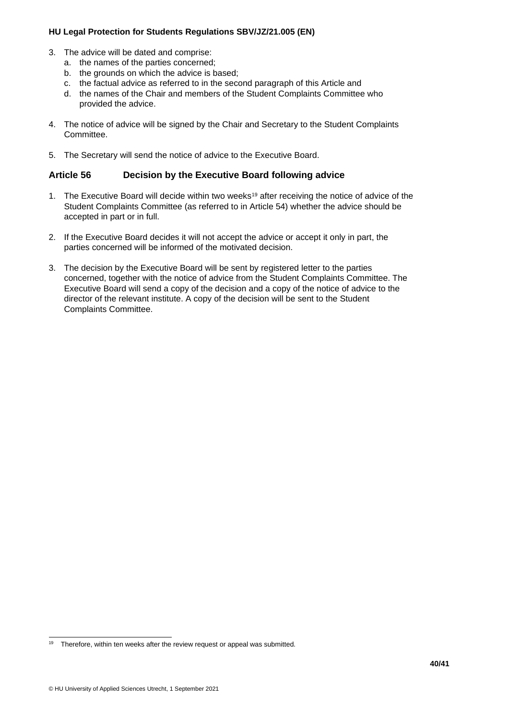- 3. The advice will be dated and comprise:
	- a. the names of the parties concerned;
	- b. the grounds on which the advice is based;
	- c. the factual advice as referred to in the second paragraph of this Article and
	- d. the names of the Chair and members of the Student Complaints Committee who provided the advice.
- 4. The notice of advice will be signed by the Chair and Secretary to the Student Complaints Committee.
- 5. The Secretary will send the notice of advice to the Executive Board.

#### <span id="page-39-0"></span>**Article 56 Decision by the Executive Board following advice**

- 1. The Executive Board will decide within two weeks<sup>19</sup> after receiving the notice of advice of the Student Complaints Committee (as referred to in Article 54) whether the advice should be accepted in part or in full.
- 2. If the Executive Board decides it will not accept the advice or accept it only in part, the parties concerned will be informed of the motivated decision.
- 3. The decision by the Executive Board will be sent by registered letter to the parties concerned, together with the notice of advice from the Student Complaints Committee. The Executive Board will send a copy of the decision and a copy of the notice of advice to the director of the relevant institute. A copy of the decision will be sent to the Student Complaints Committee.

<sup>&</sup>lt;sup>19</sup> Therefore, within ten weeks after the review request or appeal was submitted.